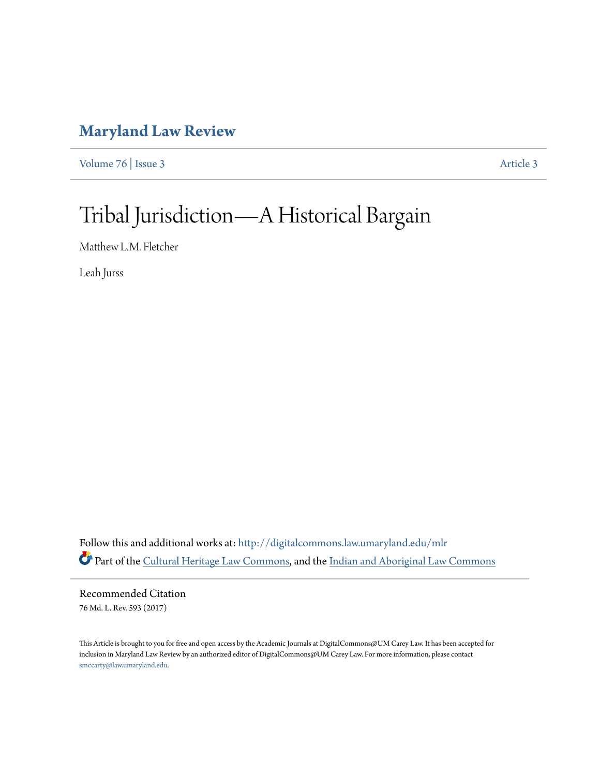# **[Maryland Law Review](http://digitalcommons.law.umaryland.edu/mlr?utm_source=digitalcommons.law.umaryland.edu%2Fmlr%2Fvol76%2Fiss3%2F3&utm_medium=PDF&utm_campaign=PDFCoverPages)**

[Volume 76](http://digitalcommons.law.umaryland.edu/mlr/vol76?utm_source=digitalcommons.law.umaryland.edu%2Fmlr%2Fvol76%2Fiss3%2F3&utm_medium=PDF&utm_campaign=PDFCoverPages) | [Issue 3](http://digitalcommons.law.umaryland.edu/mlr/vol76/iss3?utm_source=digitalcommons.law.umaryland.edu%2Fmlr%2Fvol76%2Fiss3%2F3&utm_medium=PDF&utm_campaign=PDFCoverPages) [Article 3](http://digitalcommons.law.umaryland.edu/mlr/vol76/iss3/3?utm_source=digitalcommons.law.umaryland.edu%2Fmlr%2Fvol76%2Fiss3%2F3&utm_medium=PDF&utm_campaign=PDFCoverPages)

# Tribal Jurisdiction—A Historical Bargain

Matthew L.M. Fletcher

Leah Jurss

Follow this and additional works at: [http://digitalcommons.law.umaryland.edu/mlr](http://digitalcommons.law.umaryland.edu/mlr?utm_source=digitalcommons.law.umaryland.edu%2Fmlr%2Fvol76%2Fiss3%2F3&utm_medium=PDF&utm_campaign=PDFCoverPages) Part of the [Cultural Heritage Law Commons,](http://network.bepress.com/hgg/discipline/1384?utm_source=digitalcommons.law.umaryland.edu%2Fmlr%2Fvol76%2Fiss3%2F3&utm_medium=PDF&utm_campaign=PDFCoverPages) and the [Indian and Aboriginal Law Commons](http://network.bepress.com/hgg/discipline/894?utm_source=digitalcommons.law.umaryland.edu%2Fmlr%2Fvol76%2Fiss3%2F3&utm_medium=PDF&utm_campaign=PDFCoverPages)

Recommended Citation 76 Md. L. Rev. 593 (2017)

This Article is brought to you for free and open access by the Academic Journals at DigitalCommons@UM Carey Law. It has been accepted for inclusion in Maryland Law Review by an authorized editor of DigitalCommons@UM Carey Law. For more information, please contact [smccarty@law.umaryland.edu.](mailto:smccarty@law.umaryland.edu)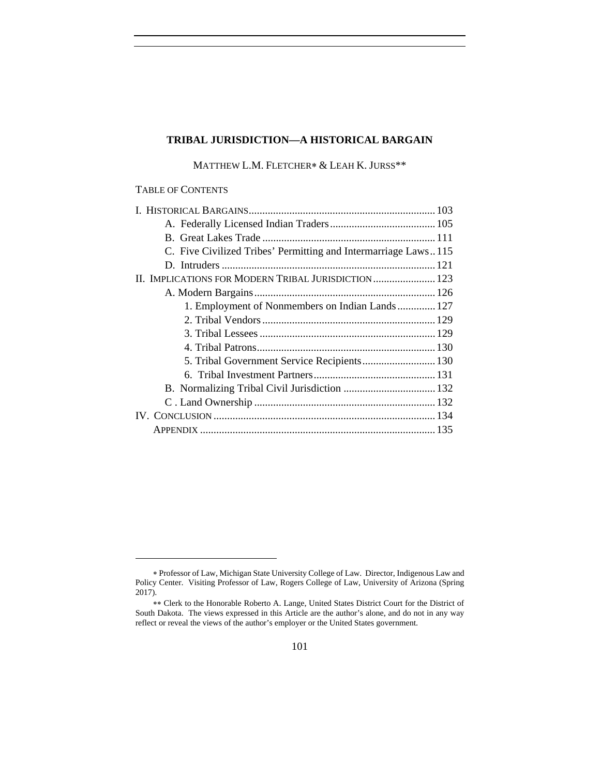#### **TRIBAL JURISDICTION—A HISTORICAL BARGAIN**

MATTHEW L.M. FLETCHER\* & LEAH K. JURSS\*\*

#### TABLE OF CONTENTS

| C. Five Civilized Tribes' Permitting and Intermarriage Laws115 |  |
|----------------------------------------------------------------|--|
|                                                                |  |
| II. IMPLICATIONS FOR MODERN TRIBAL JURISDICTION 123            |  |
|                                                                |  |
| 1. Employment of Nonmembers on Indian Lands 127                |  |
|                                                                |  |
|                                                                |  |
|                                                                |  |
|                                                                |  |
|                                                                |  |
| B. Normalizing Tribal Civil Jurisdiction  132                  |  |
|                                                                |  |
|                                                                |  |
|                                                                |  |
|                                                                |  |

Professor of Law, Michigan State University College of Law. Director, Indigenous Law and Policy Center. Visiting Professor of Law, Rogers College of Law, University of Arizona (Spring 2017).

Clerk to the Honorable Roberto A. Lange, United States District Court for the District of South Dakota. The views expressed in this Article are the author's alone, and do not in any way reflect or reveal the views of the author's employer or the United States government.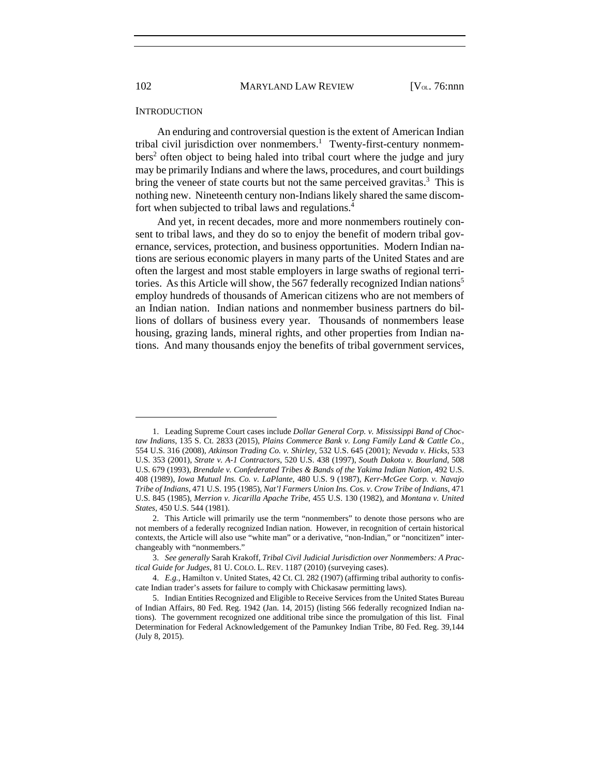102 MARYLAND LAW REVIEW [V<sub>OL.</sub> 76:nnn]

#### **INTRODUCTION**

An enduring and controversial question is the extent of American Indian tribal civil jurisdiction over nonmembers.<sup>1</sup> Twenty-first-century nonmembers<sup>2</sup> often object to being haled into tribal court where the judge and jury may be primarily Indians and where the laws, procedures, and court buildings bring the veneer of state courts but not the same perceived gravitas.<sup>3</sup> This is nothing new. Nineteenth century non-Indians likely shared the same discomfort when subjected to tribal laws and regulations.4

And yet, in recent decades, more and more nonmembers routinely consent to tribal laws, and they do so to enjoy the benefit of modern tribal governance, services, protection, and business opportunities. Modern Indian nations are serious economic players in many parts of the United States and are often the largest and most stable employers in large swaths of regional territories. As this Article will show, the 567 federally recognized Indian nations<sup>5</sup> employ hundreds of thousands of American citizens who are not members of an Indian nation. Indian nations and nonmember business partners do billions of dollars of business every year. Thousands of nonmembers lease housing, grazing lands, mineral rights, and other properties from Indian nations. And many thousands enjoy the benefits of tribal government services,

 <sup>1.</sup> Leading Supreme Court cases include *Dollar General Corp. v. Mississippi Band of Choctaw Indians*, 135 S. Ct. 2833 (2015), *Plains Commerce Bank v. Long Family Land & Cattle Co.*, 554 U.S. 316 (2008), *Atkinson Trading Co. v. Shirley*, 532 U.S. 645 (2001); *Nevada v. Hicks*, 533 U.S. 353 (2001), *Strate v. A-1 Contractors*, 520 U.S. 438 (1997), *South Dakota v. Bourland*, 508 U.S. 679 (1993), *Brendale v. Confederated Tribes & Bands of the Yakima Indian Nation*, 492 U.S. 408 (1989), *Iowa Mutual Ins. Co. v. LaPlante*, 480 U.S. 9 (1987), *Kerr-McGee Corp. v. Navajo Tribe of Indians*, 471 U.S. 195 (1985), *Nat'l Farmers Union Ins. Cos. v. Crow Tribe of Indians*, 471 U.S. 845 (1985), *Merrion v. Jicarilla Apache Tribe*, 455 U.S. 130 (1982), and *Montana v. United States*, 450 U.S. 544 (1981).

 <sup>2.</sup> This Article will primarily use the term "nonmembers" to denote those persons who are not members of a federally recognized Indian nation. However, in recognition of certain historical contexts, the Article will also use "white man" or a derivative, "non-Indian," or "noncitizen" interchangeably with "nonmembers."

 <sup>3.</sup> *See generally* Sarah Krakoff, *Tribal Civil Judicial Jurisdiction over Nonmembers: A Practical Guide for Judges*, 81 U. COLO. L. REV. 1187 (2010) (surveying cases).

 <sup>4.</sup> *E.g.*, Hamilton v. United States, 42 Ct. Cl. 282 (1907) (affirming tribal authority to confiscate Indian trader's assets for failure to comply with Chickasaw permitting laws).

 <sup>5.</sup> Indian Entities Recognized and Eligible to Receive Services from the United States Bureau of Indian Affairs, 80 Fed. Reg. 1942 (Jan. 14, 2015) (listing 566 federally recognized Indian nations). The government recognized one additional tribe since the promulgation of this list. Final Determination for Federal Acknowledgement of the Pamunkey Indian Tribe, 80 Fed. Reg. 39,144 (July 8, 2015).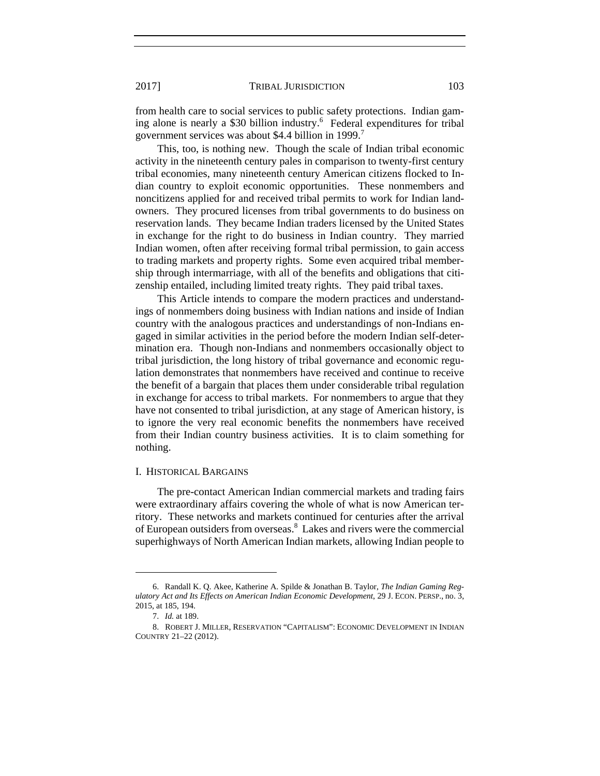from health care to social services to public safety protections. Indian gaming alone is nearly a \$30 billion industry.<sup>6</sup> Federal expenditures for tribal government services was about \$4.4 billion in 1999.<sup>7</sup>

This, too, is nothing new. Though the scale of Indian tribal economic activity in the nineteenth century pales in comparison to twenty-first century tribal economies, many nineteenth century American citizens flocked to Indian country to exploit economic opportunities. These nonmembers and noncitizens applied for and received tribal permits to work for Indian landowners. They procured licenses from tribal governments to do business on reservation lands. They became Indian traders licensed by the United States in exchange for the right to do business in Indian country. They married Indian women, often after receiving formal tribal permission, to gain access to trading markets and property rights. Some even acquired tribal membership through intermarriage, with all of the benefits and obligations that citizenship entailed, including limited treaty rights. They paid tribal taxes.

This Article intends to compare the modern practices and understandings of nonmembers doing business with Indian nations and inside of Indian country with the analogous practices and understandings of non-Indians engaged in similar activities in the period before the modern Indian self-determination era. Though non-Indians and nonmembers occasionally object to tribal jurisdiction, the long history of tribal governance and economic regulation demonstrates that nonmembers have received and continue to receive the benefit of a bargain that places them under considerable tribal regulation in exchange for access to tribal markets. For nonmembers to argue that they have not consented to tribal jurisdiction, at any stage of American history, is to ignore the very real economic benefits the nonmembers have received from their Indian country business activities. It is to claim something for nothing.

#### I. HISTORICAL BARGAINS

The pre-contact American Indian commercial markets and trading fairs were extraordinary affairs covering the whole of what is now American territory. These networks and markets continued for centuries after the arrival of European outsiders from overseas.<sup>8</sup> Lakes and rivers were the commercial superhighways of North American Indian markets, allowing Indian people to

 <sup>6.</sup> Randall K. Q. Akee, Katherine A. Spilde & Jonathan B. Taylor, *The Indian Gaming Regulatory Act and Its Effects on American Indian Economic Development*, 29 J. ECON. PERSP., no. 3, 2015, at 185, 194.

 <sup>7.</sup> *Id.* at 189.

 <sup>8.</sup> ROBERT J. MILLER, RESERVATION "CAPITALISM": ECONOMIC DEVELOPMENT IN INDIAN COUNTRY 21–22 (2012).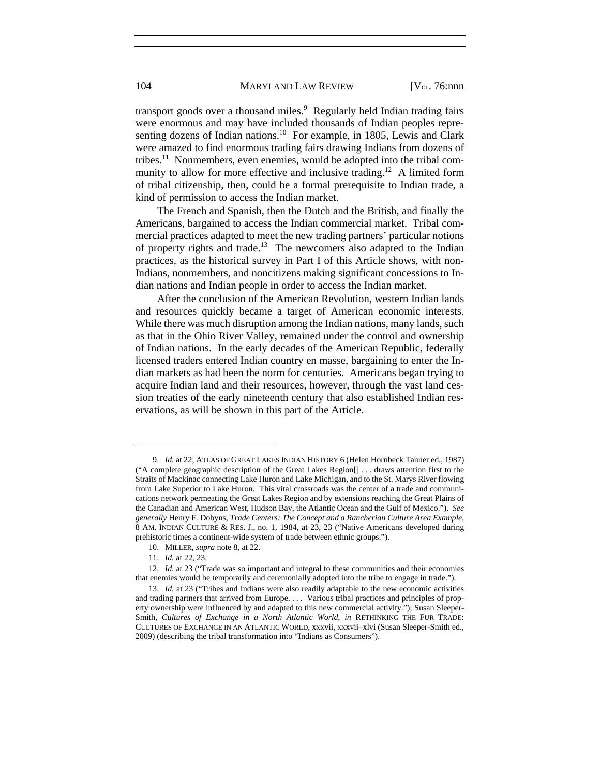transport goods over a thousand miles.<sup>9</sup> Regularly held Indian trading fairs were enormous and may have included thousands of Indian peoples representing dozens of Indian nations.<sup>10</sup> For example, in 1805, Lewis and Clark were amazed to find enormous trading fairs drawing Indians from dozens of tribes.<sup>11</sup> Nonmembers, even enemies, would be adopted into the tribal community to allow for more effective and inclusive trading.<sup>12</sup> A limited form of tribal citizenship, then, could be a formal prerequisite to Indian trade, a kind of permission to access the Indian market.

The French and Spanish, then the Dutch and the British, and finally the Americans, bargained to access the Indian commercial market. Tribal commercial practices adapted to meet the new trading partners' particular notions of property rights and trade.<sup>13</sup> The newcomers also adapted to the Indian practices, as the historical survey in Part I of this Article shows, with non-Indians, nonmembers, and noncitizens making significant concessions to Indian nations and Indian people in order to access the Indian market.

After the conclusion of the American Revolution, western Indian lands and resources quickly became a target of American economic interests. While there was much disruption among the Indian nations, many lands, such as that in the Ohio River Valley, remained under the control and ownership of Indian nations. In the early decades of the American Republic, federally licensed traders entered Indian country en masse, bargaining to enter the Indian markets as had been the norm for centuries. Americans began trying to acquire Indian land and their resources, however, through the vast land cession treaties of the early nineteenth century that also established Indian reservations, as will be shown in this part of the Article.

 <sup>9.</sup> *Id.* at 22; ATLAS OF GREAT LAKES INDIAN HISTORY 6 (Helen Hornbeck Tanner ed., 1987) ("A complete geographic description of the Great Lakes Region[] . . . draws attention first to the Straits of Mackinac connecting Lake Huron and Lake Michigan, and to the St. Marys River flowing from Lake Superior to Lake Huron. This vital crossroads was the center of a trade and communications network permeating the Great Lakes Region and by extensions reaching the Great Plains of the Canadian and American West, Hudson Bay, the Atlantic Ocean and the Gulf of Mexico."). *See generally* Henry F. Dobyns, *Trade Centers: The Concept and a Rancherian Culture Area Example*, 8 AM. INDIAN CULTURE & RES. J., no. 1, 1984, at 23, 23 ("Native Americans developed during prehistoric times a continent-wide system of trade between ethnic groups.").

 <sup>10.</sup> MILLER, *supra* note 8, at 22.

 <sup>11.</sup> *Id.* at 22, 23.

 <sup>12.</sup> *Id.* at 23 ("Trade was so important and integral to these communities and their economies that enemies would be temporarily and ceremonially adopted into the tribe to engage in trade.").

 <sup>13.</sup> *Id.* at 23 ("Tribes and Indians were also readily adaptable to the new economic activities and trading partners that arrived from Europe. . . . Various tribal practices and principles of property ownership were influenced by and adapted to this new commercial activity."); Susan Sleeper-Smith, *Cultures of Exchange in a North Atlantic World*, *in* RETHINKING THE FUR TRADE: CULTURES OF EXCHANGE IN AN ATLANTIC WORLD, xxxvii, xxxvii–xlvi (Susan Sleeper-Smith ed., 2009) (describing the tribal transformation into "Indians as Consumers").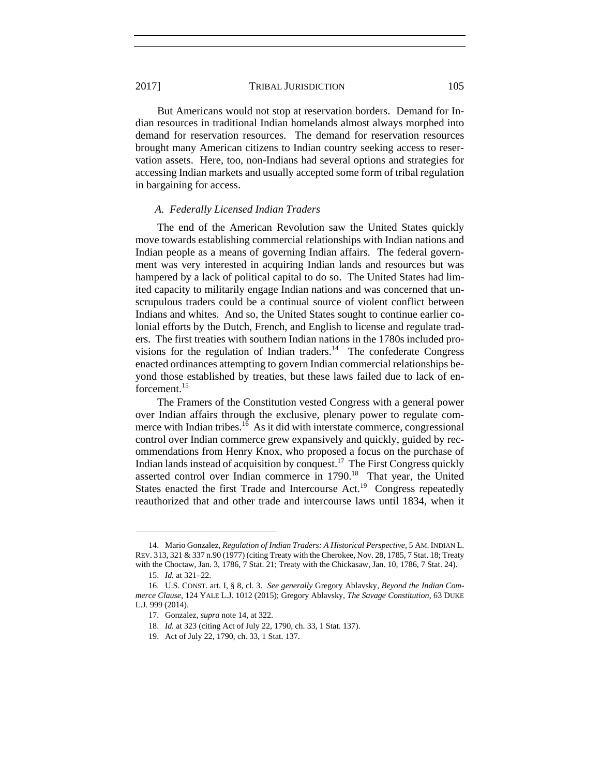But Americans would not stop at reservation borders. Demand for Indian resources in traditional Indian homelands almost always morphed into demand for reservation resources. The demand for reservation resources brought many American citizens to Indian country seeking access to reservation assets. Here, too, non-Indians had several options and strategies for accessing Indian markets and usually accepted some form of tribal regulation in bargaining for access.

#### *A. Federally Licensed Indian Traders*

The end of the American Revolution saw the United States quickly move towards establishing commercial relationships with Indian nations and Indian people as a means of governing Indian affairs. The federal government was very interested in acquiring Indian lands and resources but was hampered by a lack of political capital to do so. The United States had limited capacity to militarily engage Indian nations and was concerned that unscrupulous traders could be a continual source of violent conflict between Indians and whites. And so, the United States sought to continue earlier colonial efforts by the Dutch, French, and English to license and regulate traders. The first treaties with southern Indian nations in the 1780s included provisions for the regulation of Indian traders.<sup>14</sup> The confederate Congress enacted ordinances attempting to govern Indian commercial relationships beyond those established by treaties, but these laws failed due to lack of enforcement.<sup>15</sup>

The Framers of the Constitution vested Congress with a general power over Indian affairs through the exclusive, plenary power to regulate commerce with Indian tribes.<sup>16</sup> As it did with interstate commerce, congressional control over Indian commerce grew expansively and quickly, guided by recommendations from Henry Knox, who proposed a focus on the purchase of Indian lands instead of acquisition by conquest.<sup>17</sup> The First Congress quickly asserted control over Indian commerce in 1790.<sup>18</sup> That year, the United States enacted the first Trade and Intercourse Act.<sup>19</sup> Congress repeatedly reauthorized that and other trade and intercourse laws until 1834, when it

 <sup>14.</sup> Mario Gonzalez, *Regulation of Indian Traders: A Historical Perspective*, 5 AM. INDIAN L. REV. 313, 321 & 337 n.90 (1977) (citing Treaty with the Cherokee, Nov. 28, 1785, 7 Stat. 18; Treaty with the Choctaw, Jan. 3, 1786, 7 Stat. 21; Treaty with the Chickasaw, Jan. 10, 1786, 7 Stat. 24).

 <sup>15.</sup> *Id.* at 321–22.

 <sup>16.</sup> U.S. CONST. art. I, § 8, cl. 3. *See generally* Gregory Ablavsky, *Beyond the Indian Commerce Clause*, 124 YALE L.J. 1012 (2015); Gregory Ablavsky, *The Savage Constitution*, 63 DUKE L.J. 999 (2014).

 <sup>17.</sup> Gonzalez, *supra* note 14, at 322.

 <sup>18.</sup> *Id.* at 323 (citing Act of July 22, 1790, ch. 33, 1 Stat. 137).

 <sup>19.</sup> Act of July 22, 1790, ch. 33, 1 Stat. 137.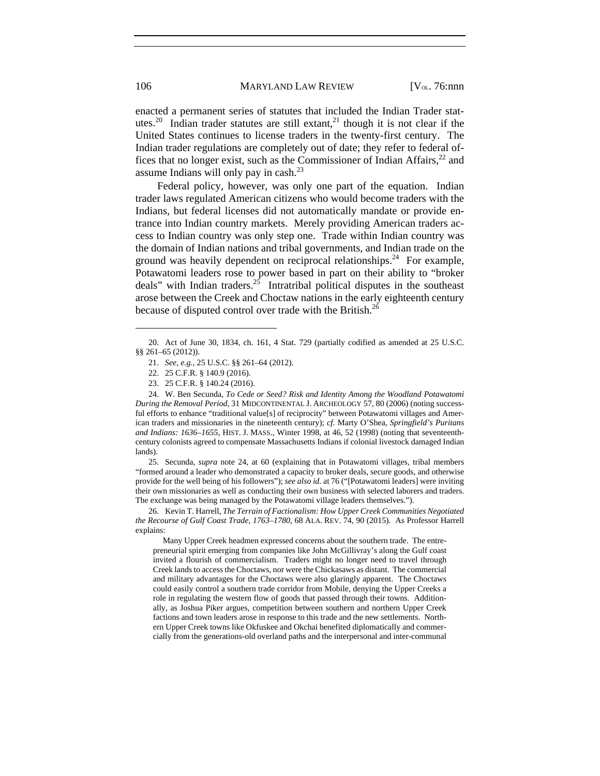106 MARYLAND LAW REVIEW [V<sub>OL.</sub> 76:nnn]

enacted a permanent series of statutes that included the Indian Trader statutes.<sup>20</sup> Indian trader statutes are still extant,<sup>21</sup> though it is not clear if the United States continues to license traders in the twenty-first century. The Indian trader regulations are completely out of date; they refer to federal offices that no longer exist, such as the Commissioner of Indian Affairs,<sup>22</sup> and assume Indians will only pay in cash.23

Federal policy, however, was only one part of the equation. Indian trader laws regulated American citizens who would become traders with the Indians, but federal licenses did not automatically mandate or provide entrance into Indian country markets. Merely providing American traders access to Indian country was only step one. Trade within Indian country was the domain of Indian nations and tribal governments, and Indian trade on the ground was heavily dependent on reciprocal relationships.<sup>24</sup> For example, Potawatomi leaders rose to power based in part on their ability to "broker deals" with Indian traders.<sup>25</sup> Intratribal political disputes in the southeast arose between the Creek and Choctaw nations in the early eighteenth century because of disputed control over trade with the British.<sup>26</sup>

 25. Secunda, *supra* note 24, at 60 (explaining that in Potawatomi villages, tribal members "formed around a leader who demonstrated a capacity to broker deals, secure goods, and otherwise provide for the well being of his followers"); *see also id.* at 76 ("[Potawatomi leaders] were inviting their own missionaries as well as conducting their own business with selected laborers and traders. The exchange was being managed by the Potawatomi village leaders themselves.").

 26. Kevin T. Harrell, *The Terrain of Factionalism: How Upper Creek Communities Negotiated the Recourse of Gulf Coast Trade, 1763–1780*, 68 ALA. REV. 74, 90 (2015). As Professor Harrell explains:

 Many Upper Creek headmen expressed concerns about the southern trade. The entrepreneurial spirit emerging from companies like John McGillivray's along the Gulf coast invited a flourish of commercialism. Traders might no longer need to travel through Creek lands to access the Choctaws, nor were the Chickasaws as distant. The commercial and military advantages for the Choctaws were also glaringly apparent. The Choctaws could easily control a southern trade corridor from Mobile, denying the Upper Creeks a role in regulating the western flow of goods that passed through their towns. Additionally, as Joshua Piker argues, competition between southern and northern Upper Creek factions and town leaders arose in response to this trade and the new settlements. Northern Upper Creek towns like Okfuskee and Okchai benefited diplomatically and commercially from the generations-old overland paths and the interpersonal and inter-communal

 <sup>20.</sup> Act of June 30, 1834, ch. 161, 4 Stat. 729 (partially codified as amended at 25 U.S.C. §§ 261-65 (2012)).

 <sup>21.</sup> *See, e.g.*, 25 U.S.C. §§ 261–64 (2012).

 <sup>22. 25</sup> C.F.R. § 140.9 (2016).

 <sup>23. 25</sup> C.F.R. § 140.24 (2016).

 <sup>24.</sup> W. Ben Secunda, *To Cede or Seed? Risk and Identity Among the Woodland Potawatomi During the Removal Period*, 31 MIDCONTINENTAL J. ARCHEOLOGY 57, 80 (2006) (noting successful efforts to enhance "traditional value[s] of reciprocity" between Potawatomi villages and American traders and missionaries in the nineteenth century); *cf.* Marty O'Shea, *Springfield's Puritans and Indians: 1636–1655*, HIST. J. MASS., Winter 1998, at 46, 52 (1998) (noting that seventeenthcentury colonists agreed to compensate Massachusetts Indians if colonial livestock damaged Indian lands).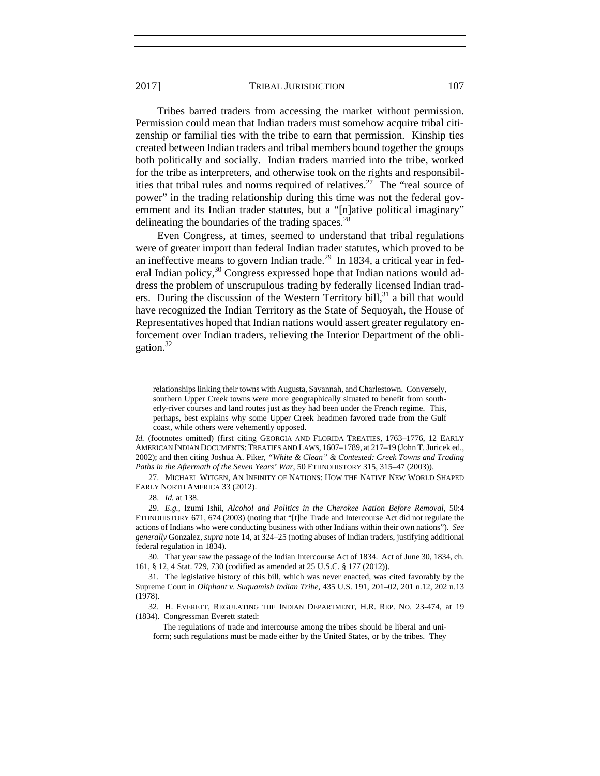Tribes barred traders from accessing the market without permission. Permission could mean that Indian traders must somehow acquire tribal citizenship or familial ties with the tribe to earn that permission. Kinship ties created between Indian traders and tribal members bound together the groups both politically and socially. Indian traders married into the tribe, worked for the tribe as interpreters, and otherwise took on the rights and responsibilities that tribal rules and norms required of relatives.<sup>27</sup> The "real source of power" in the trading relationship during this time was not the federal government and its Indian trader statutes, but a "[n]ative political imaginary" delineating the boundaries of the trading spaces.<sup>28</sup>

Even Congress, at times, seemed to understand that tribal regulations were of greater import than federal Indian trader statutes, which proved to be an ineffective means to govern Indian trade.<sup>29</sup> In 1834, a critical year in federal Indian policy, $30 \text{ Congress expressed hope that Indian nations would add-}$ dress the problem of unscrupulous trading by federally licensed Indian traders. During the discussion of the Western Territory bill, $31$  a bill that would have recognized the Indian Territory as the State of Sequoyah, the House of Representatives hoped that Indian nations would assert greater regulatory enforcement over Indian traders, relieving the Interior Department of the obligation.32

relationships linking their towns with Augusta, Savannah, and Charlestown. Conversely, southern Upper Creek towns were more geographically situated to benefit from southerly-river courses and land routes just as they had been under the French regime. This, perhaps, best explains why some Upper Creek headmen favored trade from the Gulf coast, while others were vehemently opposed.

*Id.* (footnotes omitted) (first citing GEORGIA AND FLORIDA TREATIES, 1763–1776, 12 EARLY AMERICAN INDIAN DOCUMENTS: TREATIES AND LAWS, 1607–1789, at 217–19 (John T. Juricek ed., 2002); and then citing Joshua A. Piker, *"White & Clean" & Contested: Creek Towns and Trading Paths in the Aftermath of the Seven Years' War*, 50 ETHNOHISTORY 315, 315–47 (2003)).

 <sup>27.</sup> MICHAEL WITGEN, AN INFINITY OF NATIONS: HOW THE NATIVE NEW WORLD SHAPED EARLY NORTH AMERICA 33 (2012).

 <sup>28.</sup> *Id.* at 138.

 <sup>29.</sup> *E.g.*, Izumi Ishii, *Alcohol and Politics in the Cherokee Nation Before Removal*, 50:4 ETHNOHISTORY 671, 674 (2003) (noting that "[t]he Trade and Intercourse Act did not regulate the actions of Indians who were conducting business with other Indians within their own nations"). *See generally* Gonzalez, *supra* note 14, at 324–25 (noting abuses of Indian traders, justifying additional federal regulation in 1834).

 <sup>30.</sup> That year saw the passage of the Indian Intercourse Act of 1834. Act of June 30, 1834, ch. 161, § 12, 4 Stat. 729, 730 (codified as amended at 25 U.S.C. § 177 (2012)).

 <sup>31.</sup> The legislative history of this bill, which was never enacted, was cited favorably by the Supreme Court in *Oliphant v. Suquamish Indian Tribe*, 435 U.S. 191, 201–02, 201 n.12, 202 n.13 (1978).

 <sup>32.</sup> H. EVERETT, REGULATING THE INDIAN DEPARTMENT, H.R. REP. NO. 23-474, at 19 (1834). Congressman Everett stated:

The regulations of trade and intercourse among the tribes should be liberal and uniform; such regulations must be made either by the United States, or by the tribes. They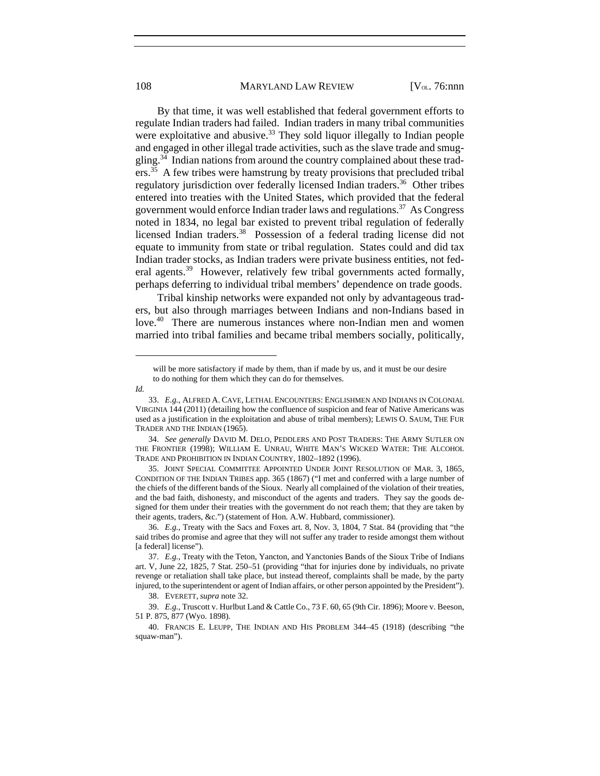#### 108 MARYLAND LAW REVIEW [V<sub>OL.</sub> 76:nnn]

By that time, it was well established that federal government efforts to regulate Indian traders had failed. Indian traders in many tribal communities were exploitative and abusive.<sup>33</sup> They sold liquor illegally to Indian people and engaged in other illegal trade activities, such as the slave trade and smuggling.34 Indian nations from around the country complained about these traders.<sup>35</sup> A few tribes were hamstrung by treaty provisions that precluded tribal regulatory jurisdiction over federally licensed Indian traders.<sup>36</sup> Other tribes entered into treaties with the United States, which provided that the federal government would enforce Indian trader laws and regulations.37 As Congress noted in 1834, no legal bar existed to prevent tribal regulation of federally licensed Indian traders.<sup>38</sup> Possession of a federal trading license did not equate to immunity from state or tribal regulation. States could and did tax Indian trader stocks, as Indian traders were private business entities, not federal agents.<sup>39</sup> However, relatively few tribal governments acted formally, perhaps deferring to individual tribal members' dependence on trade goods.

Tribal kinship networks were expanded not only by advantageous traders, but also through marriages between Indians and non-Indians based in love.<sup>40</sup> There are numerous instances where non-Indian men and women married into tribal families and became tribal members socially, politically,

will be more satisfactory if made by them, than if made by us, and it must be our desire to do nothing for them which they can do for themselves.

*Id.* 

 <sup>33.</sup> *E.g.*, ALFRED A. CAVE, LETHAL ENCOUNTERS: ENGLISHMEN AND INDIANS IN COLONIAL VIRGINIA 144 (2011) (detailing how the confluence of suspicion and fear of Native Americans was used as a justification in the exploitation and abuse of tribal members); LEWIS O. SAUM, THE FUR TRADER AND THE INDIAN (1965).

 <sup>34.</sup> *See generally* DAVID M. DELO, PEDDLERS AND POST TRADERS: THE ARMY SUTLER ON THE FRONTIER (1998); WILLIAM E. UNRAU, WHITE MAN'S WICKED WATER: THE ALCOHOL TRADE AND PROHIBITION IN INDIAN COUNTRY, 1802–1892 (1996).

 <sup>35.</sup> JOINT SPECIAL COMMITTEE APPOINTED UNDER JOINT RESOLUTION OF MAR. 3, 1865, CONDITION OF THE INDIAN TRIBES app. 365 (1867) ("I met and conferred with a large number of the chiefs of the different bands of the Sioux. Nearly all complained of the violation of their treaties, and the bad faith, dishonesty, and misconduct of the agents and traders. They say the goods designed for them under their treaties with the government do not reach them; that they are taken by their agents, traders, &c.") (statement of Hon. A.W. Hubbard, commissioner).

 <sup>36.</sup> *E.g.*, Treaty with the Sacs and Foxes art. 8, Nov. 3, 1804, 7 Stat. 84 (providing that "the said tribes do promise and agree that they will not suffer any trader to reside amongst them without [a federal] license").

 <sup>37.</sup> *E.g.*, Treaty with the Teton, Yancton, and Yanctonies Bands of the Sioux Tribe of Indians art. V, June 22, 1825, 7 Stat. 250–51 (providing "that for injuries done by individuals, no private revenge or retaliation shall take place, but instead thereof, complaints shall be made, by the party injured, to the superintendent or agent of Indian affairs, or other person appointed by the President").

 <sup>38.</sup> EVERETT, *supra* note 32.

 <sup>39.</sup> *E.g.*, Truscott v. Hurlbut Land & Cattle Co., 73 F. 60, 65 (9th Cir. 1896); Moore v. Beeson, 51 P. 875, 877 (Wyo. 1898).

 <sup>40.</sup> FRANCIS E. LEUPP, THE INDIAN AND HIS PROBLEM 344–45 (1918) (describing "the squaw-man").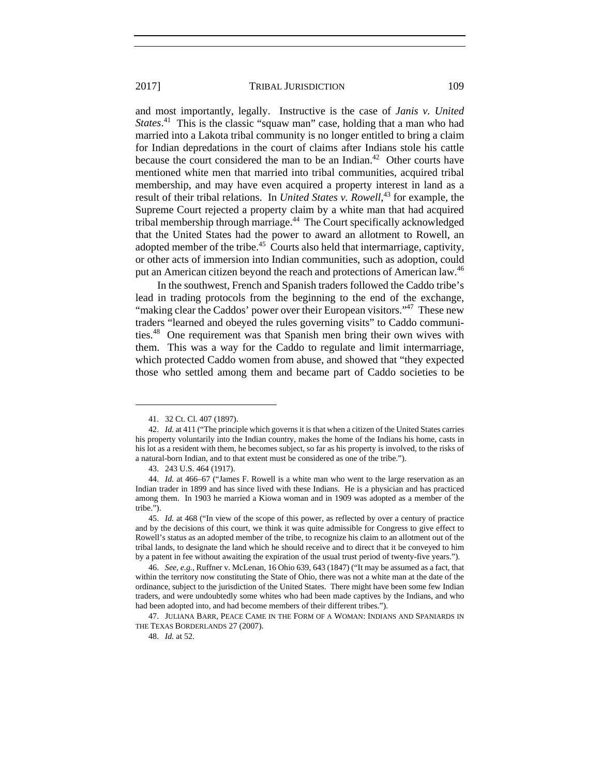and most importantly, legally. Instructive is the case of *Janis v. United States*.<sup>41</sup> This is the classic "squaw man" case, holding that a man who had married into a Lakota tribal community is no longer entitled to bring a claim for Indian depredations in the court of claims after Indians stole his cattle because the court considered the man to be an Indian.<sup>42</sup> Other courts have mentioned white men that married into tribal communities, acquired tribal membership, and may have even acquired a property interest in land as a result of their tribal relations. In *United States v. Rowell*, 43 for example, the Supreme Court rejected a property claim by a white man that had acquired tribal membership through marriage.44 The Court specifically acknowledged that the United States had the power to award an allotment to Rowell, an adopted member of the tribe.<sup>45</sup> Courts also held that intermarriage, captivity, or other acts of immersion into Indian communities, such as adoption, could put an American citizen beyond the reach and protections of American law.<sup>46</sup>

In the southwest, French and Spanish traders followed the Caddo tribe's lead in trading protocols from the beginning to the end of the exchange, "making clear the Caddos' power over their European visitors."<sup>47</sup> These new traders "learned and obeyed the rules governing visits" to Caddo communities.48 One requirement was that Spanish men bring their own wives with them. This was a way for the Caddo to regulate and limit intermarriage, which protected Caddo women from abuse, and showed that "they expected those who settled among them and became part of Caddo societies to be

l

 47. JULIANA BARR, PEACE CAME IN THE FORM OF A WOMAN: INDIANS AND SPANIARDS IN THE TEXAS BORDERLANDS 27 (2007).

 <sup>41. 32</sup> Ct. Cl. 407 (1897).

 <sup>42.</sup> *Id.* at 411 ("The principle which governs it is that when a citizen of the United States carries his property voluntarily into the Indian country, makes the home of the Indians his home, casts in his lot as a resident with them, he becomes subject, so far as his property is involved, to the risks of a natural-born Indian, and to that extent must be considered as one of the tribe.").

 <sup>43. 243</sup> U.S. 464 (1917).

 <sup>44.</sup> *Id.* at 466–67 ("James F. Rowell is a white man who went to the large reservation as an Indian trader in 1899 and has since lived with these Indians. He is a physician and has practiced among them. In 1903 he married a Kiowa woman and in 1909 was adopted as a member of the tribe.").

 <sup>45.</sup> *Id.* at 468 ("In view of the scope of this power, as reflected by over a century of practice and by the decisions of this court, we think it was quite admissible for Congress to give effect to Rowell's status as an adopted member of the tribe, to recognize his claim to an allotment out of the tribal lands, to designate the land which he should receive and to direct that it be conveyed to him by a patent in fee without awaiting the expiration of the usual trust period of twenty-five years.").

 <sup>46.</sup> *See, e.g.*, Ruffner v. McLenan, 16 Ohio 639, 643 (1847) ("It may be assumed as a fact, that within the territory now constituting the State of Ohio, there was not a white man at the date of the ordinance, subject to the jurisdiction of the United States. There might have been some few Indian traders, and were undoubtedly some whites who had been made captives by the Indians, and who had been adopted into, and had become members of their different tribes.").

 <sup>48.</sup> *Id.* at 52.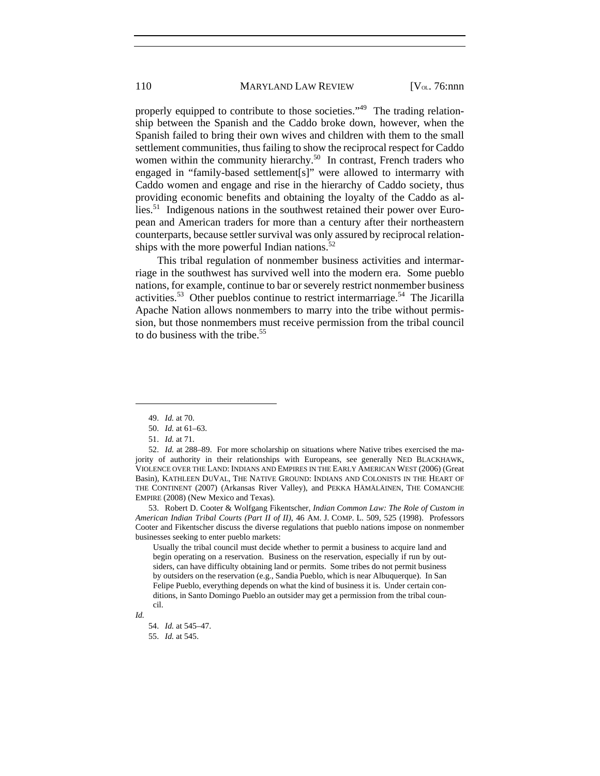properly equipped to contribute to those societies."<sup>49</sup> The trading relationship between the Spanish and the Caddo broke down, however, when the Spanish failed to bring their own wives and children with them to the small settlement communities, thus failing to show the reciprocal respect for Caddo women within the community hierarchy.<sup>50</sup> In contrast, French traders who engaged in "family-based settlement[s]" were allowed to intermarry with Caddo women and engage and rise in the hierarchy of Caddo society, thus providing economic benefits and obtaining the loyalty of the Caddo as allies.<sup>51</sup> Indigenous nations in the southwest retained their power over European and American traders for more than a century after their northeastern counterparts, because settler survival was only assured by reciprocal relationships with the more powerful Indian nations.<sup>52</sup>

This tribal regulation of nonmember business activities and intermarriage in the southwest has survived well into the modern era. Some pueblo nations, for example, continue to bar or severely restrict nonmember business activities.<sup>53</sup> Other pueblos continue to restrict intermarriage.<sup>54</sup> The Jicarilla Apache Nation allows nonmembers to marry into the tribe without permission, but those nonmembers must receive permission from the tribal council to do business with the tribe.<sup>55</sup>

l

Usually the tribal council must decide whether to permit a business to acquire land and begin operating on a reservation. Business on the reservation, especially if run by outsiders, can have difficulty obtaining land or permits. Some tribes do not permit business by outsiders on the reservation (e.g., Sandia Pueblo, which is near Albuquerque). In San Felipe Pueblo, everything depends on what the kind of business it is. Under certain conditions, in Santo Domingo Pueblo an outsider may get a permission from the tribal council.

 <sup>49.</sup> *Id.* at 70.

 <sup>50.</sup> *Id.* at 61–63.

 <sup>51.</sup> *Id.* at 71.

 <sup>52.</sup> *Id.* at 288–89. For more scholarship on situations where Native tribes exercised the majority of authority in their relationships with Europeans, see generally NED BLACKHAWK, VIOLENCE OVER THE LAND: INDIANS AND EMPIRES IN THE EARLY AMERICAN WEST (2006) (Great Basin), KATHLEEN DUVAL, THE NATIVE GROUND: INDIANS AND COLONISTS IN THE HEART OF THE CONTINENT (2007) (Arkansas River Valley), and PEKKA HÄMÄLÄINEN, THE COMANCHE EMPIRE (2008) (New Mexico and Texas).

 <sup>53.</sup> Robert D. Cooter & Wolfgang Fikentscher, *Indian Common Law: The Role of Custom in American Indian Tribal Courts (Part II of II)*, 46 AM. J. COMP. L. 509, 525 (1998). Professors Cooter and Fikentscher discuss the diverse regulations that pueblo nations impose on nonmember businesses seeking to enter pueblo markets:

*Id.* 

 <sup>54.</sup> *Id.* at 545–47. 55. *Id.* at 545.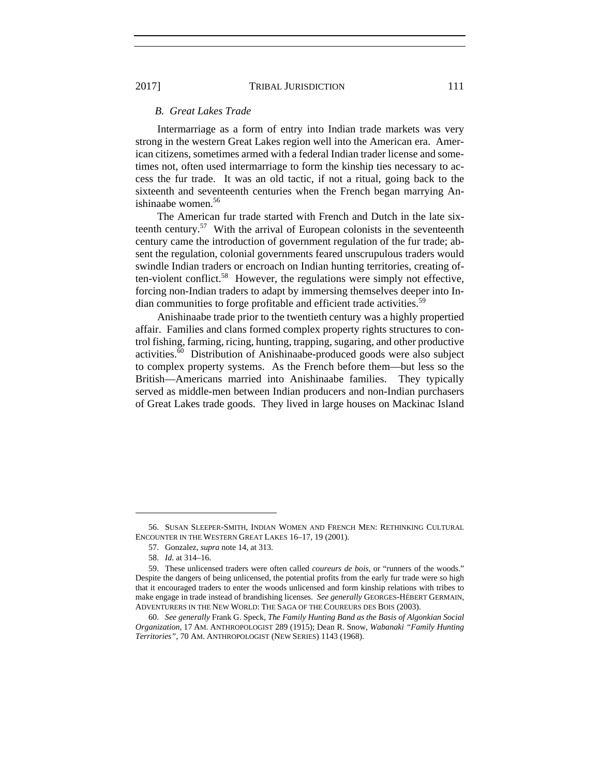#### *B. Great Lakes Trade*

Intermarriage as a form of entry into Indian trade markets was very strong in the western Great Lakes region well into the American era. American citizens, sometimes armed with a federal Indian trader license and sometimes not, often used intermarriage to form the kinship ties necessary to access the fur trade. It was an old tactic, if not a ritual, going back to the sixteenth and seventeenth centuries when the French began marrying Anishinaabe women.<sup>56</sup>

The American fur trade started with French and Dutch in the late sixteenth century.57 With the arrival of European colonists in the seventeenth century came the introduction of government regulation of the fur trade; absent the regulation, colonial governments feared unscrupulous traders would swindle Indian traders or encroach on Indian hunting territories, creating often-violent conflict.<sup>58</sup> However, the regulations were simply not effective, forcing non-Indian traders to adapt by immersing themselves deeper into Indian communities to forge profitable and efficient trade activities.<sup>59</sup>

Anishinaabe trade prior to the twentieth century was a highly propertied affair. Families and clans formed complex property rights structures to control fishing, farming, ricing, hunting, trapping, sugaring, and other productive activities.60 Distribution of Anishinaabe-produced goods were also subject to complex property systems. As the French before them—but less so the British—Americans married into Anishinaabe families. They typically served as middle-men between Indian producers and non-Indian purchasers of Great Lakes trade goods. They lived in large houses on Mackinac Island

 <sup>56.</sup> SUSAN SLEEPER-SMITH, INDIAN WOMEN AND FRENCH MEN: RETHINKING CULTURAL ENCOUNTER IN THE WESTERN GREAT LAKES 16–17, 19 (2001).

 <sup>57.</sup> Gonzalez, *supra* note 14, at 313.

 <sup>58.</sup> *Id.* at 314–16.

 <sup>59.</sup> These unlicensed traders were often called *coureurs de bois*, or "runners of the woods." Despite the dangers of being unlicensed, the potential profits from the early fur trade were so high that it encouraged traders to enter the woods unlicensed and form kinship relations with tribes to make engage in trade instead of brandishing licenses. *See generally* GEORGES-HÉBERT GERMAIN, ADVENTURERS IN THE NEW WORLD: THE SAGA OF THE COUREURS DES BOIS (2003).

 <sup>60.</sup> *See generally* Frank G. Speck, *The Family Hunting Band as the Basis of Algonkian Social Organization*, 17 AM. ANTHROPOLOGIST 289 (1915); Dean R. Snow, *Wabanaki "Family Hunting Territories"*, 70 AM. ANTHROPOLOGIST (NEW SERIES) 1143 (1968).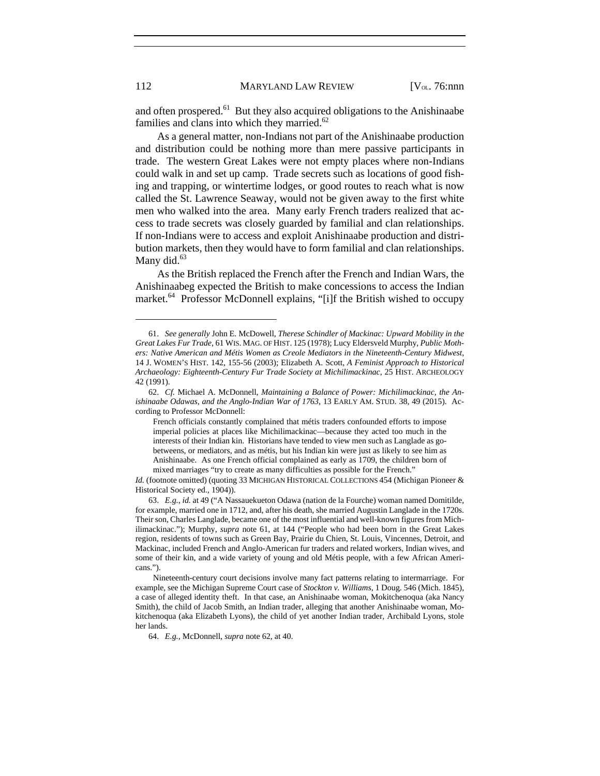and often prospered.<sup>61</sup> But they also acquired obligations to the Anishinaabe families and clans into which they married. $62$ 

As a general matter, non-Indians not part of the Anishinaabe production and distribution could be nothing more than mere passive participants in trade. The western Great Lakes were not empty places where non-Indians could walk in and set up camp. Trade secrets such as locations of good fishing and trapping, or wintertime lodges, or good routes to reach what is now called the St. Lawrence Seaway, would not be given away to the first white men who walked into the area. Many early French traders realized that access to trade secrets was closely guarded by familial and clan relationships. If non-Indians were to access and exploit Anishinaabe production and distribution markets, then they would have to form familial and clan relationships. Many did.<sup>63</sup>

As the British replaced the French after the French and Indian Wars, the Anishinaabeg expected the British to make concessions to access the Indian market.<sup>64</sup> Professor McDonnell explains, "[i]f the British wished to occupy

 <sup>61.</sup> *See generally* John E. McDowell, *Therese Schindler of Mackinac: Upward Mobility in the Great Lakes Fur Trade*, 61 WIS. MAG. OF HIST. 125 (1978); Lucy Eldersveld Murphy, *Public Mothers: Native American and Métis Women as Creole Mediators in the Nineteenth-Century Midwest*, 14 J. WOMEN'S HIST. 142, 155-56 (2003); Elizabeth A. Scott, *A Feminist Approach to Historical Archaeology: Eighteenth-Century Fur Trade Society at Michilimackinac*, 25 HIST. ARCHEOLOGY 42 (1991).

 <sup>62.</sup> *Cf.* Michael A. McDonnell, *Maintaining a Balance of Power: Michilimackinac, the Anishinaabe Odawas, and the Anglo-Indian War of 1763*, 13 EARLY AM. STUD. 38, 49 (2015). According to Professor McDonnell:

French officials constantly complained that métis traders confounded efforts to impose imperial policies at places like Michilimackinac—because they acted too much in the interests of their Indian kin. Historians have tended to view men such as Langlade as gobetweens, or mediators, and as métis, but his Indian kin were just as likely to see him as Anishinaabe. As one French official complained as early as 1709, the children born of mixed marriages "try to create as many difficulties as possible for the French."

*Id.* (footnote omitted) (quoting 33 MICHIGAN HISTORICAL COLLECTIONS 454 (Michigan Pioneer & Historical Society ed., 1904)).

 <sup>63.</sup> *E.g.*, *id.* at 49 ("A Nassauekueton Odawa (nation de la Fourche) woman named Domitilde, for example, married one in 1712, and, after his death, she married Augustin Langlade in the 1720s. Their son, Charles Langlade, became one of the most influential and well-known figures from Michilimackinac."); Murphy, *supra* note 61, at 144 ("People who had been born in the Great Lakes region, residents of towns such as Green Bay, Prairie du Chien, St. Louis, Vincennes, Detroit, and Mackinac, included French and Anglo-American fur traders and related workers, Indian wives, and some of their kin, and a wide variety of young and old Métis people, with a few African Americans.").

Nineteenth-century court decisions involve many fact patterns relating to intermarriage. For example, see the Michigan Supreme Court case of *Stockton v. Williams*, 1 Doug. 546 (Mich. 1845), a case of alleged identity theft. In that case, an Anishinaabe woman, Mokitchenoqua (aka Nancy Smith), the child of Jacob Smith, an Indian trader, alleging that another Anishinaabe woman, Mokitchenoqua (aka Elizabeth Lyons), the child of yet another Indian trader, Archibald Lyons, stole her lands.

 <sup>64.</sup> *E.g.*, McDonnell, *supra* note 62, at 40.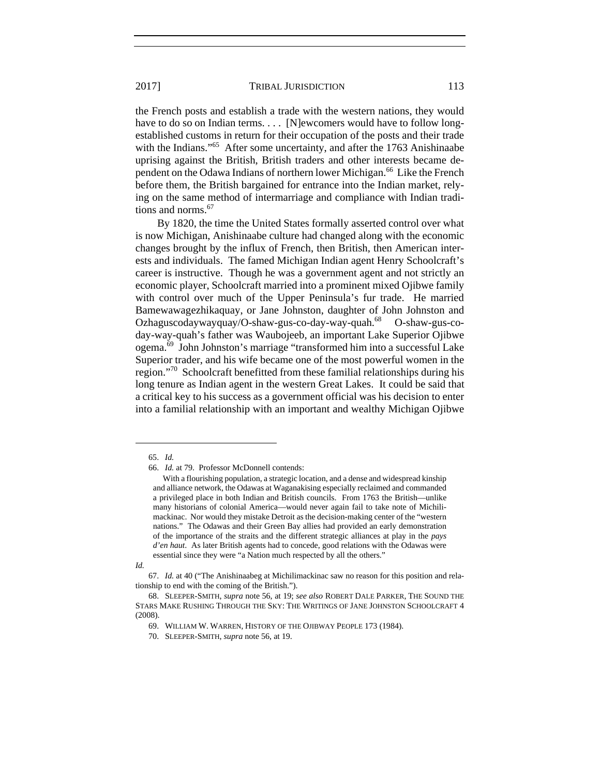the French posts and establish a trade with the western nations, they would have to do so on Indian terms. . . . [N]ewcomers would have to follow longestablished customs in return for their occupation of the posts and their trade with the Indians."<sup>65</sup> After some uncertainty, and after the 1763 Anishinaabe uprising against the British, British traders and other interests became dependent on the Odawa Indians of northern lower Michigan.<sup>66</sup> Like the French before them, the British bargained for entrance into the Indian market, relying on the same method of intermarriage and compliance with Indian traditions and norms.<sup>67</sup>

By 1820, the time the United States formally asserted control over what is now Michigan, Anishinaabe culture had changed along with the economic changes brought by the influx of French, then British, then American interests and individuals. The famed Michigan Indian agent Henry Schoolcraft's career is instructive. Though he was a government agent and not strictly an economic player, Schoolcraft married into a prominent mixed Ojibwe family with control over much of the Upper Peninsula's fur trade. He married Bamewawagezhikaquay, or Jane Johnston, daughter of John Johnston and Ozhaguscodaywayquay/O-shaw-gus-co-day-way-quah.<sup>68</sup> O-shaw-gus-coday-way-quah's father was Waubojeeb, an important Lake Superior Ojibwe ogema.69 John Johnston's marriage "transformed him into a successful Lake Superior trader, and his wife became one of the most powerful women in the region."70 Schoolcraft benefitted from these familial relationships during his long tenure as Indian agent in the western Great Lakes. It could be said that a critical key to his success as a government official was his decision to enter into a familial relationship with an important and wealthy Michigan Ojibwe

l

*Id.* 

 67. *Id.* at 40 ("The Anishinaabeg at Michilimackinac saw no reason for this position and relationship to end with the coming of the British.").

 <sup>65.</sup> *Id.* 

 <sup>66.</sup> *Id.* at 79. Professor McDonnell contends:

With a flourishing population, a strategic location, and a dense and widespread kinship and alliance network, the Odawas at Waganakising especially reclaimed and commanded a privileged place in both Indian and British councils. From 1763 the British—unlike many historians of colonial America—would never again fail to take note of Michilimackinac. Nor would they mistake Detroit as the decision-making center of the "western nations." The Odawas and their Green Bay allies had provided an early demonstration of the importance of the straits and the different strategic alliances at play in the *pays d'en haut*. As later British agents had to concede, good relations with the Odawas were essential since they were "a Nation much respected by all the others."

 <sup>68.</sup> SLEEPER-SMITH, *supra* note 56, at 19; *see also* ROBERT DALE PARKER, THE SOUND THE STARS MAKE RUSHING THROUGH THE SKY: THE WRITINGS OF JANE JOHNSTON SCHOOLCRAFT 4 (2008).

 <sup>69.</sup> WILLIAM W. WARREN, HISTORY OF THE OJIBWAY PEOPLE 173 (1984).

 <sup>70.</sup> SLEEPER-SMITH, *supra* note 56, at 19.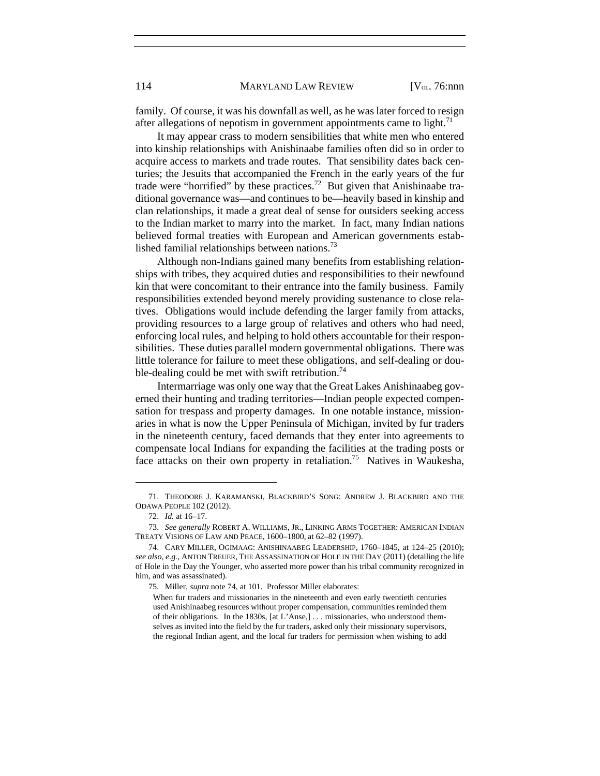family. Of course, it was his downfall as well, as he was later forced to resign after allegations of nepotism in government appointments came to light.<sup>71</sup>

It may appear crass to modern sensibilities that white men who entered into kinship relationships with Anishinaabe families often did so in order to acquire access to markets and trade routes. That sensibility dates back centuries; the Jesuits that accompanied the French in the early years of the fur trade were "horrified" by these practices.<sup>72</sup> But given that Anishinaabe traditional governance was—and continues to be—heavily based in kinship and clan relationships, it made a great deal of sense for outsiders seeking access to the Indian market to marry into the market. In fact, many Indian nations believed formal treaties with European and American governments established familial relationships between nations.<sup>73</sup>

Although non-Indians gained many benefits from establishing relationships with tribes, they acquired duties and responsibilities to their newfound kin that were concomitant to their entrance into the family business. Family responsibilities extended beyond merely providing sustenance to close relatives. Obligations would include defending the larger family from attacks, providing resources to a large group of relatives and others who had need, enforcing local rules, and helping to hold others accountable for their responsibilities. These duties parallel modern governmental obligations. There was little tolerance for failure to meet these obligations, and self-dealing or double-dealing could be met with swift retribution.<sup>74</sup>

Intermarriage was only one way that the Great Lakes Anishinaabeg governed their hunting and trading territories—Indian people expected compensation for trespass and property damages. In one notable instance, missionaries in what is now the Upper Peninsula of Michigan, invited by fur traders in the nineteenth century, faced demands that they enter into agreements to compensate local Indians for expanding the facilities at the trading posts or face attacks on their own property in retaliation.<sup>75</sup> Natives in Waukesha,

 <sup>71.</sup> THEODORE J. KARAMANSKI, BLACKBIRD'S SONG: ANDREW J. BLACKBIRD AND THE ODAWA PEOPLE 102 (2012).

 <sup>72.</sup> *Id.* at 16–17.

 <sup>73.</sup> *See generally* ROBERT A. WILLIAMS, JR., LINKING ARMS TOGETHER: AMERICAN INDIAN TREATY VISIONS OF LAW AND PEACE, 1600–1800, at 62–82 (1997).

 <sup>74.</sup> CARY MILLER, OGIMAAG: ANISHINAABEG LEADERSHIP, 1760–1845, at 124–25 (2010); *see also, e.g.*, ANTON TREUER, THE ASSASSINATION OF HOLE IN THE DAY (2011) (detailing the life of Hole in the Day the Younger, who asserted more power than his tribal community recognized in him, and was assassinated).

 <sup>75.</sup> Miller, *supra* note 74, at 101. Professor Miller elaborates:

When fur traders and missionaries in the nineteenth and even early twentieth centuries used Anishinaabeg resources without proper compensation, communities reminded them of their obligations. In the 1830s, [at L'Anse,] . . . missionaries, who understood themselves as invited into the field by the fur traders, asked only their missionary supervisors, the regional Indian agent, and the local fur traders for permission when wishing to add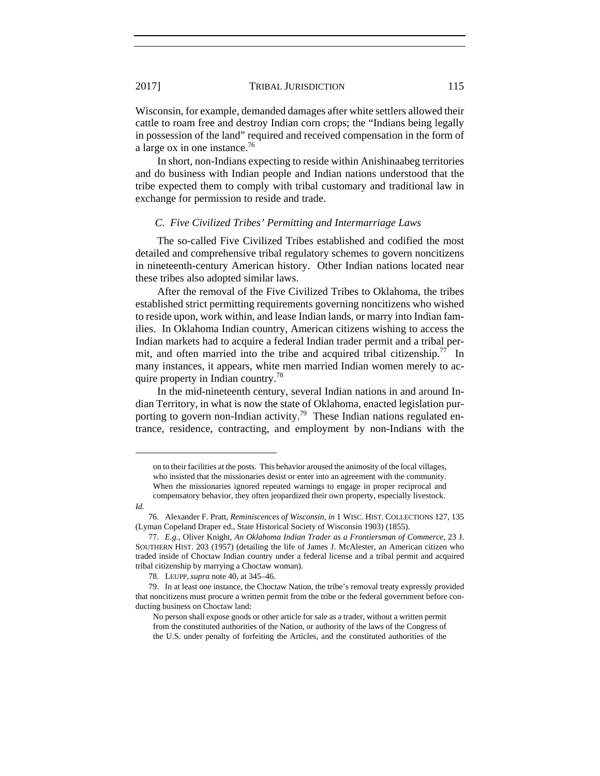Wisconsin, for example, demanded damages after white settlers allowed their cattle to roam free and destroy Indian corn crops; the "Indians being legally in possession of the land" required and received compensation in the form of a large ox in one instance.<sup>76</sup>

In short, non-Indians expecting to reside within Anishinaabeg territories and do business with Indian people and Indian nations understood that the tribe expected them to comply with tribal customary and traditional law in exchange for permission to reside and trade.

#### *C. Five Civilized Tribes' Permitting and Intermarriage Laws*

The so-called Five Civilized Tribes established and codified the most detailed and comprehensive tribal regulatory schemes to govern noncitizens in nineteenth-century American history. Other Indian nations located near these tribes also adopted similar laws.

After the removal of the Five Civilized Tribes to Oklahoma, the tribes established strict permitting requirements governing noncitizens who wished to reside upon, work within, and lease Indian lands, or marry into Indian families. In Oklahoma Indian country, American citizens wishing to access the Indian markets had to acquire a federal Indian trader permit and a tribal permit, and often married into the tribe and acquired tribal citizenship.<sup>77</sup> In many instances, it appears, white men married Indian women merely to acquire property in Indian country.78

In the mid-nineteenth century, several Indian nations in and around Indian Territory, in what is now the state of Oklahoma, enacted legislation purporting to govern non-Indian activity.<sup>79</sup> These Indian nations regulated entrance, residence, contracting, and employment by non-Indians with the

on to their facilities at the posts. This behavior aroused the animosity of the local villages, who insisted that the missionaries desist or enter into an agreement with the community. When the missionaries ignored repeated warnings to engage in proper reciprocal and compensatory behavior, they often jeopardized their own property, especially livestock.

*Id.* 

 <sup>76.</sup> Alexander F. Pratt, *Reminiscences of Wisconsin*, *in* 1 WISC. HIST. COLLECTIONS 127, 135 (Lyman Copeland Draper ed., State Historical Society of Wisconsin 1903) (1855).

 <sup>77.</sup> *E.g.*, Oliver Knight, *An Oklahoma Indian Trader as a Frontiersman of Commerce*, 23 J. SOUTHERN HIST. 203 (1957) (detailing the life of James J. McAlester, an American citizen who traded inside of Choctaw Indian country under a federal license and a tribal permit and acquired tribal citizenship by marrying a Choctaw woman).

 <sup>78.</sup> LEUPP, *supra* note 40, at 345–46.

 <sup>79.</sup> In at least one instance, the Choctaw Nation, the tribe's removal treaty expressly provided that noncitizens must procure a written permit from the tribe or the federal government before conducting business on Choctaw land:

No person shall expose goods or other article for sale as a trader, without a written permit from the constituted authorities of the Nation, or authority of the laws of the Congress of the U.S. under penalty of forfeiting the Articles, and the constituted authorities of the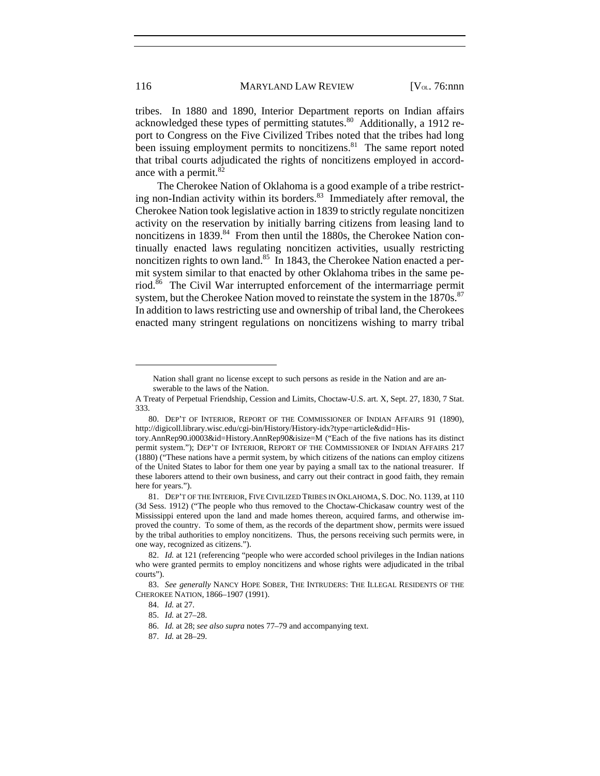tribes. In 1880 and 1890, Interior Department reports on Indian affairs acknowledged these types of permitting statutes.<sup>80</sup> Additionally, a 1912 report to Congress on the Five Civilized Tribes noted that the tribes had long been issuing employment permits to noncitizens.<sup>81</sup> The same report noted that tribal courts adjudicated the rights of noncitizens employed in accordance with a permit.<sup>82</sup>

The Cherokee Nation of Oklahoma is a good example of a tribe restricting non-Indian activity within its borders.<sup>83</sup> Immediately after removal, the Cherokee Nation took legislative action in 1839 to strictly regulate noncitizen activity on the reservation by initially barring citizens from leasing land to noncitizens in 1839.<sup>84</sup> From then until the 1880s, the Cherokee Nation continually enacted laws regulating noncitizen activities, usually restricting noncitizen rights to own land.<sup>85</sup> In 1843, the Cherokee Nation enacted a permit system similar to that enacted by other Oklahoma tribes in the same period.86 The Civil War interrupted enforcement of the intermarriage permit system, but the Cherokee Nation moved to reinstate the system in the 1870s.<sup>87</sup> In addition to laws restricting use and ownership of tribal land, the Cherokees enacted many stringent regulations on noncitizens wishing to marry tribal

Nation shall grant no license except to such persons as reside in the Nation and are answerable to the laws of the Nation.

A Treaty of Perpetual Friendship, Cession and Limits, Choctaw-U.S. art. X, Sept. 27, 1830, 7 Stat. 333.

 <sup>80.</sup> DEP'T OF INTERIOR, REPORT OF THE COMMISSIONER OF INDIAN AFFAIRS 91 (1890), http://digicoll.library.wisc.edu/cgi-bin/History/History-idx?type=article&did=His-

tory.AnnRep90.i0003&id=History.AnnRep90&isize=M ("Each of the five nations has its distinct permit system."); DEP'T OF INTERIOR, REPORT OF THE COMMISSIONER OF INDIAN AFFAIRS 217 (1880) ("These nations have a permit system, by which citizens of the nations can employ citizens of the United States to labor for them one year by paying a small tax to the national treasurer. If these laborers attend to their own business, and carry out their contract in good faith, they remain here for years.").

 <sup>81.</sup> DEP'T OF THE INTERIOR, FIVE CIVILIZED TRIBES IN OKLAHOMA, S. DOC. NO. 1139, at 110 (3d Sess. 1912) ("The people who thus removed to the Choctaw-Chickasaw country west of the Mississippi entered upon the land and made homes thereon, acquired farms, and otherwise improved the country. To some of them, as the records of the department show, permits were issued by the tribal authorities to employ noncitizens. Thus, the persons receiving such permits were, in one way, recognized as citizens.").

 <sup>82.</sup> *Id.* at 121 (referencing "people who were accorded school privileges in the Indian nations who were granted permits to employ noncitizens and whose rights were adjudicated in the tribal courts").

 <sup>83.</sup> *See generally* NANCY HOPE SOBER, THE INTRUDERS: THE ILLEGAL RESIDENTS OF THE CHEROKEE NATION, 1866–1907 (1991).

 <sup>84.</sup> *Id.* at 27.

 <sup>85.</sup> *Id.* at 27–28.

 <sup>86.</sup> *Id.* at 28; *see also supra* notes 77–79 and accompanying text.

 <sup>87.</sup> *Id.* at 28–29.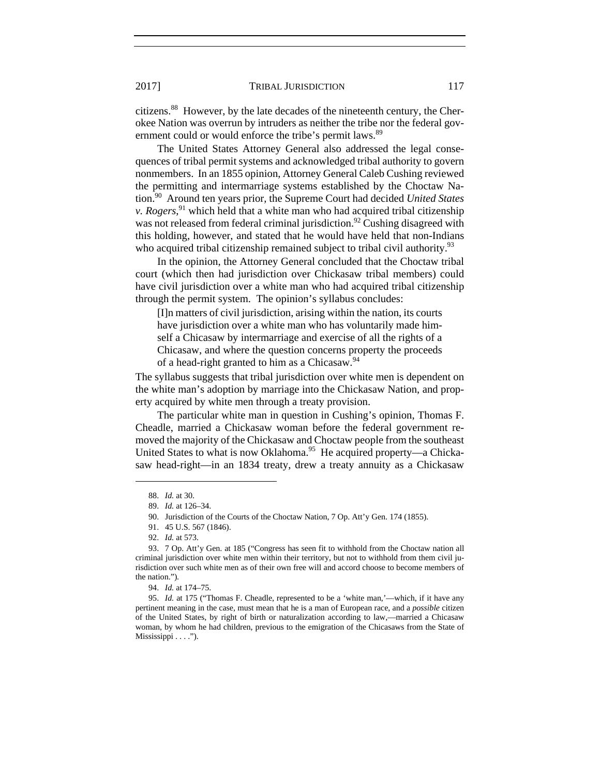citizens.88 However, by the late decades of the nineteenth century, the Cherokee Nation was overrun by intruders as neither the tribe nor the federal government could or would enforce the tribe's permit laws.<sup>89</sup>

The United States Attorney General also addressed the legal consequences of tribal permit systems and acknowledged tribal authority to govern nonmembers. In an 1855 opinion, Attorney General Caleb Cushing reviewed the permitting and intermarriage systems established by the Choctaw Nation.90 Around ten years prior, the Supreme Court had decided *United States v. Rogers*, 91 which held that a white man who had acquired tribal citizenship was not released from federal criminal jurisdiction.<sup>92</sup> Cushing disagreed with this holding, however, and stated that he would have held that non-Indians who acquired tribal citizenship remained subject to tribal civil authority.<sup>93</sup>

In the opinion, the Attorney General concluded that the Choctaw tribal court (which then had jurisdiction over Chickasaw tribal members) could have civil jurisdiction over a white man who had acquired tribal citizenship through the permit system. The opinion's syllabus concludes:

[I]n matters of civil jurisdiction, arising within the nation, its courts have jurisdiction over a white man who has voluntarily made himself a Chicasaw by intermarriage and exercise of all the rights of a Chicasaw, and where the question concerns property the proceeds of a head-right granted to him as a Chicasaw.<sup>94</sup>

The syllabus suggests that tribal jurisdiction over white men is dependent on the white man's adoption by marriage into the Chickasaw Nation, and property acquired by white men through a treaty provision.

The particular white man in question in Cushing's opinion, Thomas F. Cheadle, married a Chickasaw woman before the federal government removed the majority of the Chickasaw and Choctaw people from the southeast United States to what is now Oklahoma.<sup>95</sup> He acquired property—a Chickasaw head-right—in an 1834 treaty, drew a treaty annuity as a Chickasaw

 <sup>88.</sup> *Id.* at 30.

 <sup>89.</sup> *Id.* at 126–34.

 <sup>90.</sup> Jurisdiction of the Courts of the Choctaw Nation, 7 Op. Att'y Gen. 174 (1855).

 <sup>91. 45</sup> U.S. 567 (1846).

 <sup>92.</sup> *Id.* at 573.

 <sup>93. 7</sup> Op. Att'y Gen. at 185 ("Congress has seen fit to withhold from the Choctaw nation all criminal jurisdiction over white men within their territory, but not to withhold from them civil jurisdiction over such white men as of their own free will and accord choose to become members of the nation.").

 <sup>94.</sup> *Id.* at 174–75.

 <sup>95.</sup> *Id.* at 175 ("Thomas F. Cheadle, represented to be a 'white man,'—which, if it have any pertinent meaning in the case, must mean that he is a man of European race, and a *possible* citizen of the United States, by right of birth or naturalization according to law,—married a Chicasaw woman, by whom he had children, previous to the emigration of the Chicasaws from the State of Mississippi . . . .").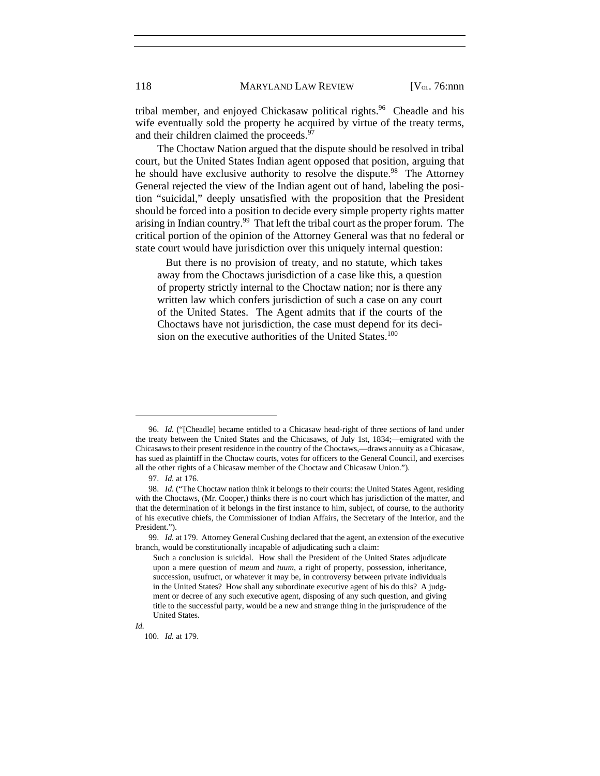tribal member, and enjoyed Chickasaw political rights.<sup>96</sup> Cheadle and his wife eventually sold the property he acquired by virtue of the treaty terms, and their children claimed the proceeds.<sup>97</sup>

The Choctaw Nation argued that the dispute should be resolved in tribal court, but the United States Indian agent opposed that position, arguing that he should have exclusive authority to resolve the dispute.<sup>98</sup> The Attorney General rejected the view of the Indian agent out of hand, labeling the position "suicidal," deeply unsatisfied with the proposition that the President should be forced into a position to decide every simple property rights matter arising in Indian country.<sup>99</sup> That left the tribal court as the proper forum. The critical portion of the opinion of the Attorney General was that no federal or state court would have jurisdiction over this uniquely internal question:

 But there is no provision of treaty, and no statute, which takes away from the Choctaws jurisdiction of a case like this, a question of property strictly internal to the Choctaw nation; nor is there any written law which confers jurisdiction of such a case on any court of the United States. The Agent admits that if the courts of the Choctaws have not jurisdiction, the case must depend for its decision on the executive authorities of the United States.<sup>100</sup>

*Id.*

 <sup>96.</sup> *Id.* ("[Cheadle] became entitled to a Chicasaw head-right of three sections of land under the treaty between the United States and the Chicasaws, of July 1st, 1834;—emigrated with the Chicasaws to their present residence in the country of the Choctaws,—draws annuity as a Chicasaw, has sued as plaintiff in the Choctaw courts, votes for officers to the General Council, and exercises all the other rights of a Chicasaw member of the Choctaw and Chicasaw Union.").

 <sup>97.</sup> *Id.* at 176.

 <sup>98.</sup> *Id.* ("The Choctaw nation think it belongs to their courts: the United States Agent, residing with the Choctaws, (Mr. Cooper,) thinks there is no court which has jurisdiction of the matter, and that the determination of it belongs in the first instance to him, subject, of course, to the authority of his executive chiefs, the Commissioner of Indian Affairs, the Secretary of the Interior, and the President.").

 <sup>99.</sup> *Id.* at 179. Attorney General Cushing declared that the agent, an extension of the executive branch, would be constitutionally incapable of adjudicating such a claim:

Such a conclusion is suicidal. How shall the President of the United States adjudicate upon a mere question of *meum* and *tuum*, a right of property, possession, inheritance, succession, usufruct, or whatever it may be, in controversy between private individuals in the United States? How shall any subordinate executive agent of his do this? A judgment or decree of any such executive agent, disposing of any such question, and giving title to the successful party, would be a new and strange thing in the jurisprudence of the United States.

 <sup>100.</sup> *Id.* at 179.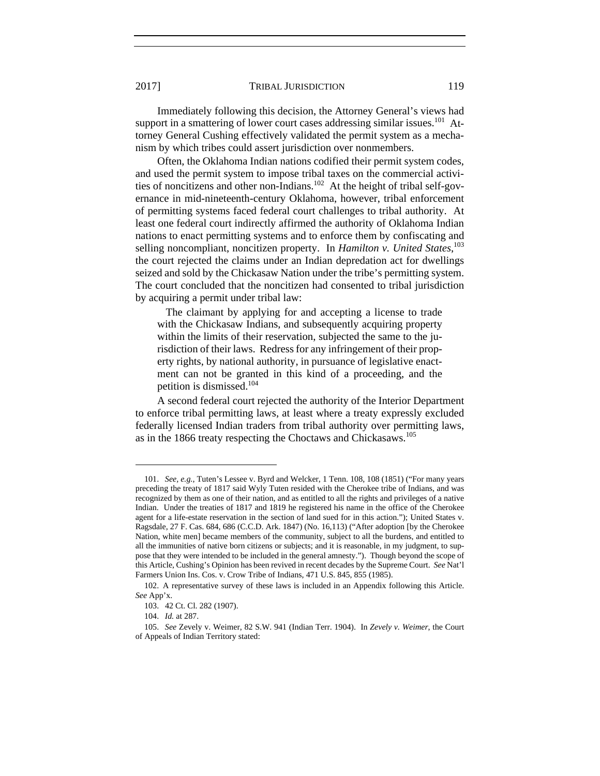Immediately following this decision, the Attorney General's views had support in a smattering of lower court cases addressing similar issues.<sup>101</sup> Attorney General Cushing effectively validated the permit system as a mechanism by which tribes could assert jurisdiction over nonmembers.

Often, the Oklahoma Indian nations codified their permit system codes, and used the permit system to impose tribal taxes on the commercial activities of noncitizens and other non-Indians.<sup>102</sup> At the height of tribal self-governance in mid-nineteenth-century Oklahoma, however, tribal enforcement of permitting systems faced federal court challenges to tribal authority. At least one federal court indirectly affirmed the authority of Oklahoma Indian nations to enact permitting systems and to enforce them by confiscating and selling noncompliant, noncitizen property. In *Hamilton v. United States*, 103 the court rejected the claims under an Indian depredation act for dwellings seized and sold by the Chickasaw Nation under the tribe's permitting system. The court concluded that the noncitizen had consented to tribal jurisdiction by acquiring a permit under tribal law:

 The claimant by applying for and accepting a license to trade with the Chickasaw Indians, and subsequently acquiring property within the limits of their reservation, subjected the same to the jurisdiction of their laws. Redress for any infringement of their property rights, by national authority, in pursuance of legislative enactment can not be granted in this kind of a proceeding, and the petition is dismissed.104

A second federal court rejected the authority of the Interior Department to enforce tribal permitting laws, at least where a treaty expressly excluded federally licensed Indian traders from tribal authority over permitting laws, as in the 1866 treaty respecting the Choctaws and Chickasaws.<sup>105</sup>

 <sup>101.</sup> *See, e.g.*, Tuten's Lessee v. Byrd and Welcker, 1 Tenn. 108, 108 (1851) ("For many years preceding the treaty of 1817 said Wyly Tuten resided with the Cherokee tribe of Indians, and was recognized by them as one of their nation, and as entitled to all the rights and privileges of a native Indian. Under the treaties of 1817 and 1819 he registered his name in the office of the Cherokee agent for a life-estate reservation in the section of land sued for in this action."); United States v. Ragsdale, 27 F. Cas. 684, 686 (C.C.D. Ark. 1847) (No. 16,113) ("After adoption [by the Cherokee Nation, white men] became members of the community, subject to all the burdens, and entitled to all the immunities of native born citizens or subjects; and it is reasonable, in my judgment, to suppose that they were intended to be included in the general amnesty."). Though beyond the scope of this Article, Cushing's Opinion has been revived in recent decades by the Supreme Court. *See* Nat'l Farmers Union Ins. Cos. v. Crow Tribe of Indians, 471 U.S. 845, 855 (1985).

 <sup>102.</sup> A representative survey of these laws is included in an Appendix following this Article. *See* App'x.

 <sup>103. 42</sup> Ct. Cl. 282 (1907).

 <sup>104.</sup> *Id.* at 287.

 <sup>105.</sup> *See* Zevely v. Weimer, 82 S.W. 941 (Indian Terr. 1904). In *Zevely v. Weimer*, the Court of Appeals of Indian Territory stated: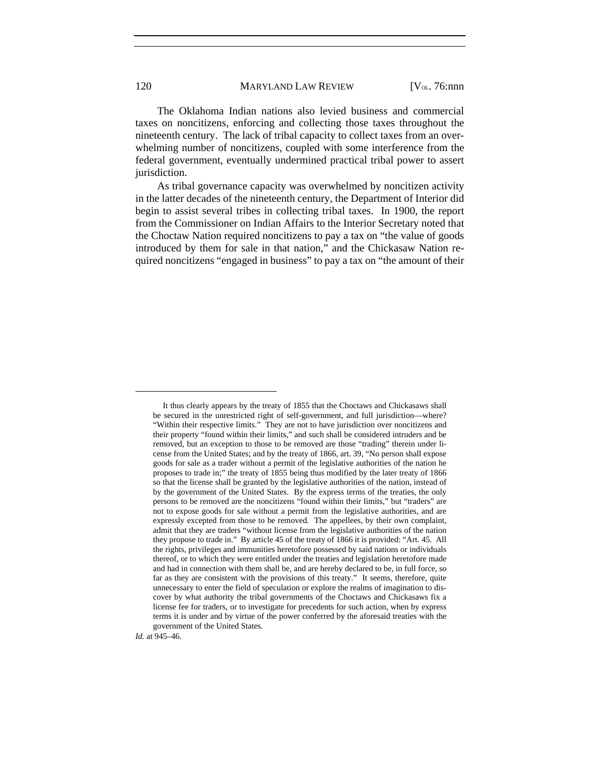The Oklahoma Indian nations also levied business and commercial taxes on noncitizens, enforcing and collecting those taxes throughout the nineteenth century. The lack of tribal capacity to collect taxes from an overwhelming number of noncitizens, coupled with some interference from the federal government, eventually undermined practical tribal power to assert jurisdiction.

As tribal governance capacity was overwhelmed by noncitizen activity in the latter decades of the nineteenth century, the Department of Interior did begin to assist several tribes in collecting tribal taxes. In 1900, the report from the Commissioner on Indian Affairs to the Interior Secretary noted that the Choctaw Nation required noncitizens to pay a tax on "the value of goods introduced by them for sale in that nation," and the Chickasaw Nation required noncitizens "engaged in business" to pay a tax on "the amount of their

*Id.* at 945–46.

It thus clearly appears by the treaty of 1855 that the Choctaws and Chickasaws shall be secured in the unrestricted right of self-government, and full jurisdiction—where? "Within their respective limits." They are not to have jurisdiction over noncitizens and their property "found within their limits," and such shall be considered intruders and be removed, but an exception to those to be removed are those "trading" therein under license from the United States; and by the treaty of 1866, art. 39, "No person shall expose goods for sale as a trader without a permit of the legislative authorities of the nation he proposes to trade in;" the treaty of 1855 being thus modified by the later treaty of 1866 so that the license shall be granted by the legislative authorities of the nation, instead of by the government of the United States. By the express terms of the treaties, the only persons to be removed are the noncitizens "found within their limits," but "traders" are not to expose goods for sale without a permit from the legislative authorities, and are expressly excepted from those to be removed. The appellees, by their own complaint, admit that they are traders "without license from the legislative authorities of the nation they propose to trade in." By article 45 of the treaty of 1866 it is provided: "Art. 45. All the rights, privileges and immunities heretofore possessed by said nations or individuals thereof, or to which they were entitled under the treaties and legislation heretofore made and had in connection with them shall be, and are hereby declared to be, in full force, so far as they are consistent with the provisions of this treaty." It seems, therefore, quite unnecessary to enter the field of speculation or explore the realms of imagination to discover by what authority the tribal governments of the Choctaws and Chickasaws fix a license fee for traders, or to investigate for precedents for such action, when by express terms it is under and by virtue of the power conferred by the aforesaid treaties with the government of the United States.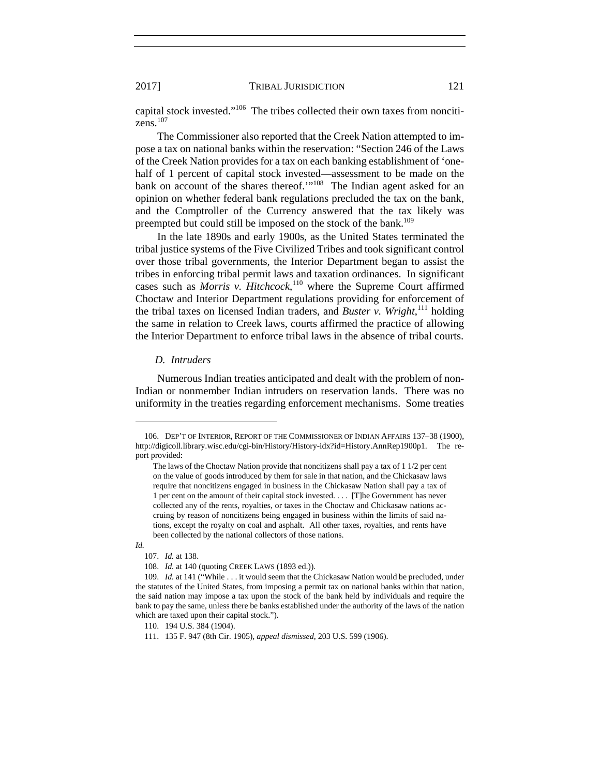capital stock invested."106 The tribes collected their own taxes from noncitizens.<sup>107</sup>

The Commissioner also reported that the Creek Nation attempted to impose a tax on national banks within the reservation: "Section 246 of the Laws of the Creek Nation provides for a tax on each banking establishment of 'onehalf of 1 percent of capital stock invested—assessment to be made on the bank on account of the shares thereof.'"<sup>108</sup> The Indian agent asked for an opinion on whether federal bank regulations precluded the tax on the bank, and the Comptroller of the Currency answered that the tax likely was preempted but could still be imposed on the stock of the bank.<sup>109</sup>

In the late 1890s and early 1900s, as the United States terminated the tribal justice systems of the Five Civilized Tribes and took significant control over those tribal governments, the Interior Department began to assist the tribes in enforcing tribal permit laws and taxation ordinances. In significant cases such as *Morris v. Hitchcock*, 110 where the Supreme Court affirmed Choctaw and Interior Department regulations providing for enforcement of the tribal taxes on licensed Indian traders, and *Buster v. Wright*, 111 holding the same in relation to Creek laws, courts affirmed the practice of allowing the Interior Department to enforce tribal laws in the absence of tribal courts.

#### *D. Intruders*

Numerous Indian treaties anticipated and dealt with the problem of non-Indian or nonmember Indian intruders on reservation lands. There was no uniformity in the treaties regarding enforcement mechanisms. Some treaties

 <sup>106.</sup> DEP'T OF INTERIOR, REPORT OF THE COMMISSIONER OF INDIAN AFFAIRS 137–38 (1900), http://digicoll.library.wisc.edu/cgi-bin/History/History-idx?id=History.AnnRep1900p1. The report provided:

The laws of the Choctaw Nation provide that noncitizens shall pay a tax of 1 1/2 per cent on the value of goods introduced by them for sale in that nation, and the Chickasaw laws require that noncitizens engaged in business in the Chickasaw Nation shall pay a tax of 1 per cent on the amount of their capital stock invested. . . . [T]he Government has never collected any of the rents, royalties, or taxes in the Choctaw and Chickasaw nations accruing by reason of noncitizens being engaged in business within the limits of said nations, except the royalty on coal and asphalt. All other taxes, royalties, and rents have been collected by the national collectors of those nations.

*Id.* 

 <sup>107.</sup> *Id.* at 138.

 <sup>108.</sup> *Id.* at 140 (quoting CREEK LAWS (1893 ed.)).

 <sup>109.</sup> *Id.* at 141 ("While . . . it would seem that the Chickasaw Nation would be precluded, under the statutes of the United States, from imposing a permit tax on national banks within that nation, the said nation may impose a tax upon the stock of the bank held by individuals and require the bank to pay the same, unless there be banks established under the authority of the laws of the nation which are taxed upon their capital stock.").

 <sup>110. 194</sup> U.S. 384 (1904).

 <sup>111. 135</sup> F. 947 (8th Cir. 1905), *appeal dismissed*, 203 U.S. 599 (1906).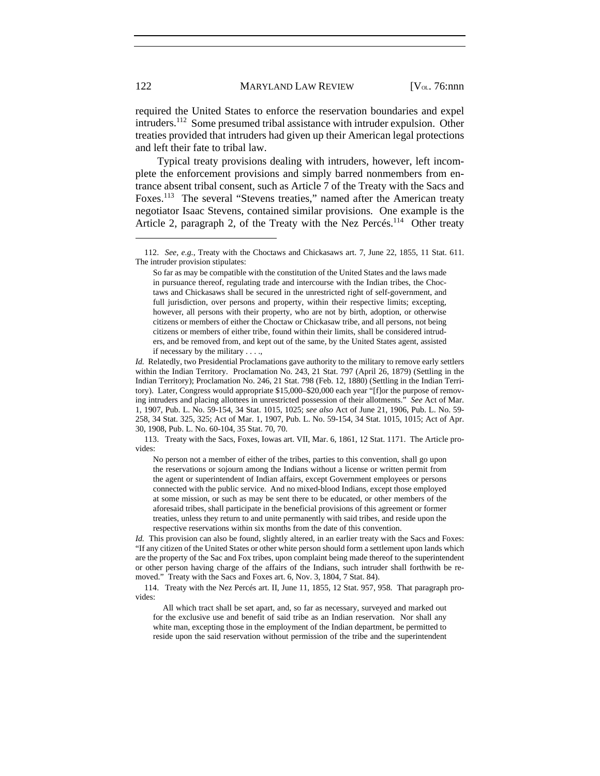required the United States to enforce the reservation boundaries and expel intruders.<sup>112</sup> Some presumed tribal assistance with intruder expulsion. Other treaties provided that intruders had given up their American legal protections and left their fate to tribal law.

Typical treaty provisions dealing with intruders, however, left incomplete the enforcement provisions and simply barred nonmembers from entrance absent tribal consent, such as Article 7 of the Treaty with the Sacs and Foxes.<sup>113</sup> The several "Stevens treaties," named after the American treaty negotiator Isaac Stevens, contained similar provisions. One example is the Article 2, paragraph 2, of the Treaty with the Nez Percés.<sup>114</sup> Other treaty

 113. Treaty with the Sacs, Foxes, Iowas art. VII, Mar. 6, 1861, 12 Stat. 1171. The Article provides:

No person not a member of either of the tribes, parties to this convention, shall go upon the reservations or sojourn among the Indians without a license or written permit from the agent or superintendent of Indian affairs, except Government employees or persons connected with the public service. And no mixed-blood Indians, except those employed at some mission, or such as may be sent there to be educated, or other members of the aforesaid tribes, shall participate in the beneficial provisions of this agreement or former treaties, unless they return to and unite permanently with said tribes, and reside upon the respective reservations within six months from the date of this convention.

*Id.* This provision can also be found, slightly altered, in an earlier treaty with the Sacs and Foxes: "If any citizen of the United States or other white person should form a settlement upon lands which are the property of the Sac and Fox tribes, upon complaint being made thereof to the superintendent or other person having charge of the affairs of the Indians, such intruder shall forthwith be removed." Treaty with the Sacs and Foxes art. 6, Nov. 3, 1804, 7 Stat. 84).

 114. Treaty with the Nez Percés art. II, June 11, 1855, 12 Stat. 957, 958. That paragraph provides:

 All which tract shall be set apart, and, so far as necessary, surveyed and marked out for the exclusive use and benefit of said tribe as an Indian reservation. Nor shall any white man, excepting those in the employment of the Indian department, be permitted to reside upon the said reservation without permission of the tribe and the superintendent

 <sup>112.</sup> *See, e.g.*, Treaty with the Choctaws and Chickasaws art. 7, June 22, 1855, 11 Stat. 611. The intruder provision stipulates:

So far as may be compatible with the constitution of the United States and the laws made in pursuance thereof, regulating trade and intercourse with the Indian tribes, the Choctaws and Chickasaws shall be secured in the unrestricted right of self-government, and full jurisdiction, over persons and property, within their respective limits; excepting, however, all persons with their property, who are not by birth, adoption, or otherwise citizens or members of either the Choctaw or Chickasaw tribe, and all persons, not being citizens or members of either tribe, found within their limits, shall be considered intruders, and be removed from, and kept out of the same, by the United States agent, assisted if necessary by the military . . . .,

*Id.* Relatedly, two Presidential Proclamations gave authority to the military to remove early settlers within the Indian Territory. Proclamation No. 243, 21 Stat. 797 (April 26, 1879) (Settling in the Indian Territory); Proclamation No. 246, 21 Stat. 798 (Feb. 12, 1880) (Settling in the Indian Territory). Later, Congress would appropriate \$15,000–\$20,000 each year "[f]or the purpose of removing intruders and placing allottees in unrestricted possession of their allotments." *See* Act of Mar. 1, 1907, Pub. L. No. 59-154, 34 Stat. 1015, 1025; *see also* Act of June 21, 1906, Pub. L. No. 59- 258, 34 Stat. 325, 325; Act of Mar. 1, 1907, Pub. L. No. 59-154, 34 Stat. 1015, 1015; Act of Apr. 30, 1908, Pub. L. No. 60-104, 35 Stat. 70, 70.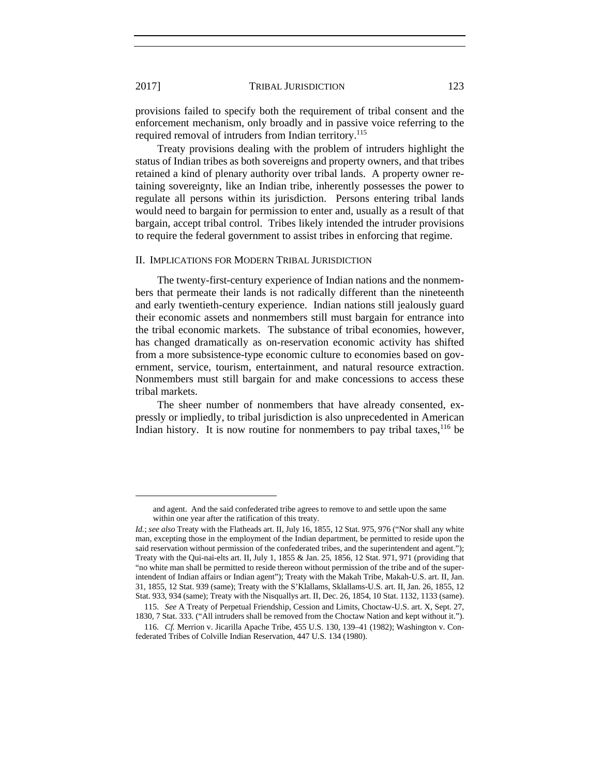provisions failed to specify both the requirement of tribal consent and the enforcement mechanism, only broadly and in passive voice referring to the required removal of intruders from Indian territory.<sup>115</sup>

Treaty provisions dealing with the problem of intruders highlight the status of Indian tribes as both sovereigns and property owners, and that tribes retained a kind of plenary authority over tribal lands. A property owner retaining sovereignty, like an Indian tribe, inherently possesses the power to regulate all persons within its jurisdiction. Persons entering tribal lands would need to bargain for permission to enter and, usually as a result of that bargain, accept tribal control. Tribes likely intended the intruder provisions to require the federal government to assist tribes in enforcing that regime.

#### II. IMPLICATIONS FOR MODERN TRIBAL JURISDICTION

The twenty-first-century experience of Indian nations and the nonmembers that permeate their lands is not radically different than the nineteenth and early twentieth-century experience. Indian nations still jealously guard their economic assets and nonmembers still must bargain for entrance into the tribal economic markets. The substance of tribal economies, however, has changed dramatically as on-reservation economic activity has shifted from a more subsistence-type economic culture to economies based on government, service, tourism, entertainment, and natural resource extraction. Nonmembers must still bargain for and make concessions to access these tribal markets.

The sheer number of nonmembers that have already consented, expressly or impliedly, to tribal jurisdiction is also unprecedented in American Indian history. It is now routine for nonmembers to pay tribal taxes,  $16$  be

and agent. And the said confederated tribe agrees to remove to and settle upon the same within one year after the ratification of this treaty.

*Id.*; *see also* Treaty with the Flatheads art. II, July 16, 1855, 12 Stat. 975, 976 ("Nor shall any white man, excepting those in the employment of the Indian department, be permitted to reside upon the said reservation without permission of the confederated tribes, and the superintendent and agent."); Treaty with the Qui-nai-elts art. II, July 1, 1855 & Jan. 25, 1856, 12 Stat. 971, 971 (providing that "no white man shall be permitted to reside thereon without permission of the tribe and of the superintendent of Indian affairs or Indian agent"); Treaty with the Makah Tribe, Makah-U.S. art. II, Jan. 31, 1855, 12 Stat. 939 (same); Treaty with the S'Klallams, Sklallams-U.S. art. II, Jan. 26, 1855, 12 Stat. 933, 934 (same); Treaty with the Nisquallys art. II, Dec. 26, 1854, 10 Stat. 1132, 1133 (same).

 <sup>115.</sup> *See* A Treaty of Perpetual Friendship, Cession and Limits, Choctaw-U.S. art. X, Sept. 27, 1830, 7 Stat. 333. ("All intruders shall be removed from the Choctaw Nation and kept without it.").

 <sup>116.</sup> *Cf.* Merrion v. Jicarilla Apache Tribe, 455 U.S. 130, 139–41 (1982); Washington v. Confederated Tribes of Colville Indian Reservation, 447 U.S. 134 (1980).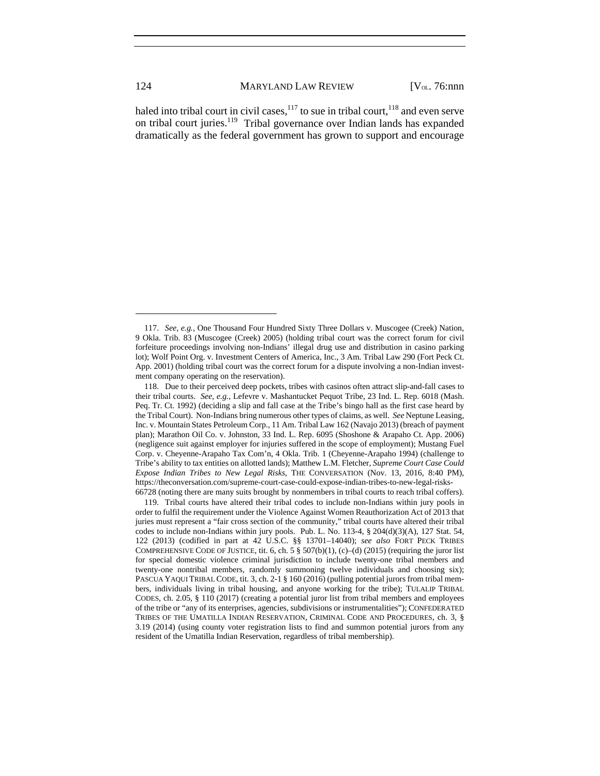haled into tribal court in civil cases,  $117$  to sue in tribal court,  $118$  and even serve on tribal court juries.<sup>119</sup> Tribal governance over Indian lands has expanded dramatically as the federal government has grown to support and encourage

 <sup>117.</sup> *See, e.g.*, One Thousand Four Hundred Sixty Three Dollars v. Muscogee (Creek) Nation, 9 Okla. Trib. 83 (Muscogee (Creek) 2005) (holding tribal court was the correct forum for civil forfeiture proceedings involving non-Indians' illegal drug use and distribution in casino parking lot); Wolf Point Org. v. Investment Centers of America, Inc., 3 Am. Tribal Law 290 (Fort Peck Ct. App. 2001) (holding tribal court was the correct forum for a dispute involving a non-Indian investment company operating on the reservation).

 <sup>118.</sup> Due to their perceived deep pockets, tribes with casinos often attract slip-and-fall cases to their tribal courts. *See, e.g.*, Lefevre v. Mashantucket Pequot Tribe, 23 Ind. L. Rep. 6018 (Mash. Peq. Tr. Ct. 1992) (deciding a slip and fall case at the Tribe's bingo hall as the first case heard by the Tribal Court). Non-Indians bring numerous other types of claims, as well. *See* Neptune Leasing, Inc. v. Mountain States Petroleum Corp., 11 Am. Tribal Law 162 (Navajo 2013) (breach of payment plan); Marathon Oil Co. v. Johnston, 33 Ind. L. Rep. 6095 (Shoshone & Arapaho Ct. App. 2006) (negligence suit against employer for injuries suffered in the scope of employment); Mustang Fuel Corp. v. Cheyenne-Arapaho Tax Com'n, 4 Okla. Trib. 1 (Cheyenne-Arapaho 1994) (challenge to Tribe's ability to tax entities on allotted lands); Matthew L.M. Fletcher, *Supreme Court Case Could Expose Indian Tribes to New Legal Risks*, THE CONVERSATION (Nov. 13, 2016, 8:40 PM), https://theconversation.com/supreme-court-case-could-expose-indian-tribes-to-new-legal-risks-66728 (noting there are many suits brought by nonmembers in tribal courts to reach tribal coffers).

 <sup>119.</sup> Tribal courts have altered their tribal codes to include non-Indians within jury pools in order to fulfil the requirement under the Violence Against Women Reauthorization Act of 2013 that juries must represent a "fair cross section of the community," tribal courts have altered their tribal codes to include non-Indians within jury pools. Pub. L. No. 113-4, § 204(d)(3)(A), 127 Stat. 54, 122 (2013) (codified in part at 42 U.S.C. §§ 13701–14040); *see also* FORT PECK TRIBES COMPREHENSIVE CODE OF JUSTICE, tit. 6, ch. 5  $\S$  507(b)(1), (c)–(d) (2015) (requiring the juror list for special domestic violence criminal jurisdiction to include twenty-one tribal members and twenty-one nontribal members, randomly summoning twelve individuals and choosing six); PASCUA YAQUI TRIBAL CODE, tit. 3, ch. 2-1 § 160 (2016) (pulling potential jurors from tribal members, individuals living in tribal housing, and anyone working for the tribe); TULALIP TRIBAL CODES, ch. 2.05, § 110 (2017) (creating a potential juror list from tribal members and employees of the tribe or "any of its enterprises, agencies, subdivisions or instrumentalities"); CONFEDERATED TRIBES OF THE UMATILLA INDIAN RESERVATION, CRIMINAL CODE AND PROCEDURES, ch. 3, § 3.19 (2014) (using county voter registration lists to find and summon potential jurors from any resident of the Umatilla Indian Reservation, regardless of tribal membership).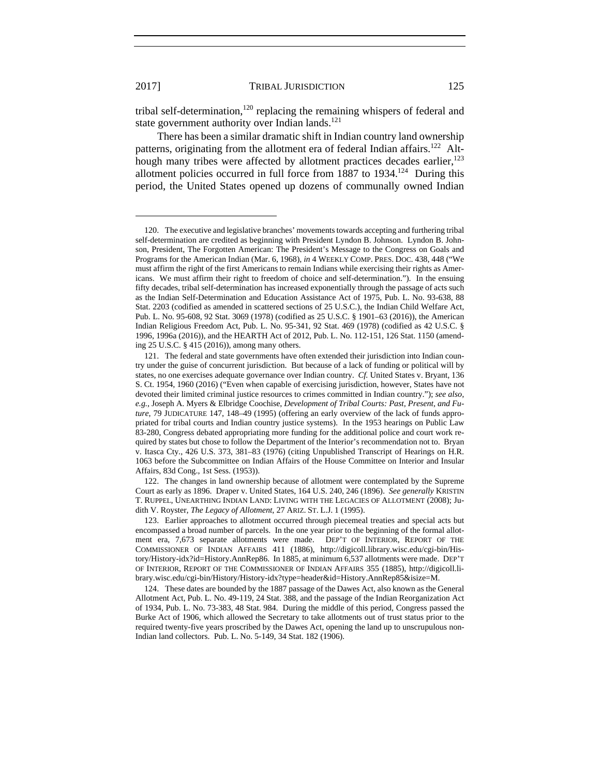tribal self-determination,<sup>120</sup> replacing the remaining whispers of federal and state government authority over Indian lands. $^{121}$ 

There has been a similar dramatic shift in Indian country land ownership patterns, originating from the allotment era of federal Indian affairs.<sup>122</sup> Although many tribes were affected by allotment practices decades earlier, $123$ allotment policies occurred in full force from  $1887$  to  $1934$ .<sup>124</sup> During this period, the United States opened up dozens of communally owned Indian

l

 122. The changes in land ownership because of allotment were contemplated by the Supreme Court as early as 1896. Draper v. United States, 164 U.S. 240, 246 (1896). *See generally* KRISTIN T. RUPPEL, UNEARTHING INDIAN LAND: LIVING WITH THE LEGACIES OF ALLOTMENT (2008); Judith V. Royster, *The Legacy of Allotment*, 27 ARIZ. ST. L.J. 1 (1995).

 123. Earlier approaches to allotment occurred through piecemeal treaties and special acts but encompassed a broad number of parcels. In the one year prior to the beginning of the formal allotment era, 7,673 separate allotments were made. DEP'T OF INTERIOR, REPORT OF THE COMMISSIONER OF INDIAN AFFAIRS 411 (1886), http://digicoll.library.wisc.edu/cgi-bin/History/History-idx?id=History.AnnRep86. In 1885, at minimum 6,537 allotments were made. DEP'T OF INTERIOR, REPORT OF THE COMMISSIONER OF INDIAN AFFAIRS 355 (1885), http://digicoll.library.wisc.edu/cgi-bin/History/History-idx?type=header&id=History.AnnRep85&isize=M.

 124. These dates are bounded by the 1887 passage of the Dawes Act, also known as the General Allotment Act, Pub. L. No. 49-119, 24 Stat. 388, and the passage of the Indian Reorganization Act of 1934, Pub. L. No. 73-383, 48 Stat. 984. During the middle of this period, Congress passed the Burke Act of 1906, which allowed the Secretary to take allotments out of trust status prior to the required twenty-five years proscribed by the Dawes Act, opening the land up to unscrupulous non-Indian land collectors. Pub. L. No. 5-149, 34 Stat. 182 (1906).

 <sup>120.</sup> The executive and legislative branches' movements towards accepting and furthering tribal self-determination are credited as beginning with President Lyndon B. Johnson. Lyndon B. Johnson, President, The Forgotten American: The President's Message to the Congress on Goals and Programs for the American Indian (Mar. 6, 1968), *in* 4 WEEKLY COMP. PRES. DOC. 438, 448 ("We must affirm the right of the first Americans to remain Indians while exercising their rights as Americans. We must affirm their right to freedom of choice and self-determination."). In the ensuing fifty decades, tribal self-determination has increased exponentially through the passage of acts such as the Indian Self-Determination and Education Assistance Act of 1975, Pub. L. No. 93-638, 88 Stat. 2203 (codified as amended in scattered sections of 25 U.S.C.), the Indian Child Welfare Act, Pub. L. No. 95-608, 92 Stat. 3069 (1978) (codified as 25 U.S.C. § 1901–63 (2016)), the American Indian Religious Freedom Act, Pub. L. No. 95-341, 92 Stat. 469 (1978) (codified as 42 U.S.C. § 1996, 1996a (2016)), and the HEARTH Act of 2012, Pub. L. No. 112-151, 126 Stat. 1150 (amending 25 U.S.C. § 415 (2016)), among many others.

 <sup>121.</sup> The federal and state governments have often extended their jurisdiction into Indian country under the guise of concurrent jurisdiction. But because of a lack of funding or political will by states, no one exercises adequate governance over Indian country. *Cf.* United States v. Bryant, 136 S. Ct. 1954, 1960 (2016) ("Even when capable of exercising jurisdiction, however, States have not devoted their limited criminal justice resources to crimes committed in Indian country."); *see also, e.g.*, Joseph A. Myers & Elbridge Coochise, *Development of Tribal Courts: Past, Present, and Future*, 79 JUDICATURE 147, 148–49 (1995) (offering an early overview of the lack of funds appropriated for tribal courts and Indian country justice systems). In the 1953 hearings on Public Law 83-280, Congress debated appropriating more funding for the additional police and court work required by states but chose to follow the Department of the Interior's recommendation not to. Bryan v. Itasca Cty., 426 U.S. 373, 381–83 (1976) (citing Unpublished Transcript of Hearings on H.R. 1063 before the Subcommittee on Indian Affairs of the House Committee on Interior and Insular Affairs, 83d Cong., 1st Sess. (1953)).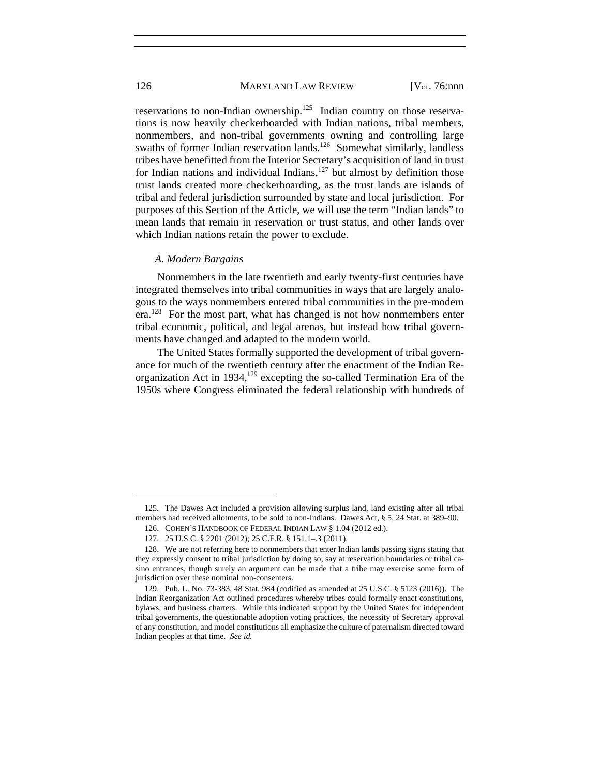reservations to non-Indian ownership.<sup>125</sup> Indian country on those reservations is now heavily checkerboarded with Indian nations, tribal members, nonmembers, and non-tribal governments owning and controlling large swaths of former Indian reservation lands.<sup>126</sup> Somewhat similarly, landless tribes have benefitted from the Interior Secretary's acquisition of land in trust for Indian nations and individual Indians, $127$  but almost by definition those trust lands created more checkerboarding, as the trust lands are islands of tribal and federal jurisdiction surrounded by state and local jurisdiction. For purposes of this Section of the Article, we will use the term "Indian lands" to mean lands that remain in reservation or trust status, and other lands over which Indian nations retain the power to exclude.

#### *A. Modern Bargains*

Nonmembers in the late twentieth and early twenty-first centuries have integrated themselves into tribal communities in ways that are largely analogous to the ways nonmembers entered tribal communities in the pre-modern era.<sup>128</sup> For the most part, what has changed is not how nonmembers enter tribal economic, political, and legal arenas, but instead how tribal governments have changed and adapted to the modern world.

The United States formally supported the development of tribal governance for much of the twentieth century after the enactment of the Indian Reorganization Act in 1934, $129$  excepting the so-called Termination Era of the 1950s where Congress eliminated the federal relationship with hundreds of

 <sup>125.</sup> The Dawes Act included a provision allowing surplus land, land existing after all tribal members had received allotments, to be sold to non-Indians. Dawes Act, § 5, 24 Stat. at 389–90.

 <sup>126.</sup> COHEN'S HANDBOOK OF FEDERAL INDIAN LAW § 1.04 (2012 ed.).

 <sup>127. 25</sup> U.S.C. § 2201 (2012); 25 C.F.R. § 151.1–.3 (2011).

 <sup>128.</sup> We are not referring here to nonmembers that enter Indian lands passing signs stating that they expressly consent to tribal jurisdiction by doing so, say at reservation boundaries or tribal casino entrances, though surely an argument can be made that a tribe may exercise some form of jurisdiction over these nominal non-consenters.

 <sup>129.</sup> Pub. L. No. 73-383, 48 Stat. 984 (codified as amended at 25 U.S.C. § 5123 (2016)). The Indian Reorganization Act outlined procedures whereby tribes could formally enact constitutions, bylaws, and business charters. While this indicated support by the United States for independent tribal governments, the questionable adoption voting practices, the necessity of Secretary approval of any constitution, and model constitutions all emphasize the culture of paternalism directed toward Indian peoples at that time. *See id.*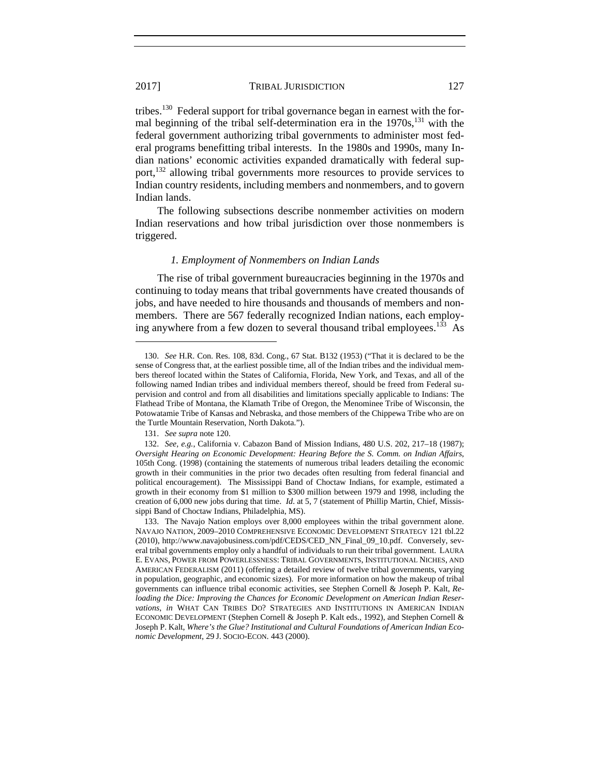tribes.130 Federal support for tribal governance began in earnest with the formal beginning of the tribal self-determination era in the  $1970s$ ,  $^{131}$  with the federal government authorizing tribal governments to administer most federal programs benefitting tribal interests. In the 1980s and 1990s, many Indian nations' economic activities expanded dramatically with federal support,<sup>132</sup> allowing tribal governments more resources to provide services to Indian country residents, including members and nonmembers, and to govern Indian lands.

The following subsections describe nonmember activities on modern Indian reservations and how tribal jurisdiction over those nonmembers is triggered.

#### *1. Employment of Nonmembers on Indian Lands*

The rise of tribal government bureaucracies beginning in the 1970s and continuing to today means that tribal governments have created thousands of jobs, and have needed to hire thousands and thousands of members and nonmembers. There are 567 federally recognized Indian nations, each employing anywhere from a few dozen to several thousand tribal employees.<sup>133</sup> As

 <sup>130.</sup> *See* H.R. Con. Res. 108, 83d. Cong., 67 Stat. B132 (1953) ("That it is declared to be the sense of Congress that, at the earliest possible time, all of the Indian tribes and the individual members thereof located within the States of California, Florida, New York, and Texas, and all of the following named Indian tribes and individual members thereof, should be freed from Federal supervision and control and from all disabilities and limitations specially applicable to Indians: The Flathead Tribe of Montana, the Klamath Tribe of Oregon, the Menominee Tribe of Wisconsin, the Potowatamie Tribe of Kansas and Nebraska, and those members of the Chippewa Tribe who are on the Turtle Mountain Reservation, North Dakota.").

 <sup>131.</sup> *See supra* note 120.

 <sup>132.</sup> *See, e.g.*, California v. Cabazon Band of Mission Indians, 480 U.S. 202, 217–18 (1987); *Oversight Hearing on Economic Development: Hearing Before the S. Comm. on Indian Affairs*, 105th Cong. (1998) (containing the statements of numerous tribal leaders detailing the economic growth in their communities in the prior two decades often resulting from federal financial and political encouragement). The Mississippi Band of Choctaw Indians, for example, estimated a growth in their economy from \$1 million to \$300 million between 1979 and 1998, including the creation of 6,000 new jobs during that time. *Id*. at 5, 7 (statement of Phillip Martin, Chief, Mississippi Band of Choctaw Indians, Philadelphia, MS).

 <sup>133.</sup> The Navajo Nation employs over 8,000 employees within the tribal government alone. NAVAJO NATION, 2009–2010 COMPREHENSIVE ECONOMIC DEVELOPMENT STRATEGY 121 tbl.22 (2010), http://www.navajobusiness.com/pdf/CEDS/CED\_NN\_Final\_09\_10.pdf. Conversely, several tribal governments employ only a handful of individuals to run their tribal government. LAURA E. EVANS, POWER FROM POWERLESSNESS: TRIBAL GOVERNMENTS, INSTITUTIONAL NICHES, AND AMERICAN FEDERALISM (2011) (offering a detailed review of twelve tribal governments, varying in population, geographic, and economic sizes). For more information on how the makeup of tribal governments can influence tribal economic activities, see Stephen Cornell & Joseph P. Kalt, *Reloading the Dice: Improving the Chances for Economic Development on American Indian Reservations*, *in* WHAT CAN TRIBES DO? STRATEGIES AND INSTITUTIONS IN AMERICAN INDIAN ECONOMIC DEVELOPMENT (Stephen Cornell & Joseph P. Kalt eds., 1992), and Stephen Cornell & Joseph P. Kalt, *Where's the Glue? Institutional and Cultural Foundations of American Indian Economic Development*, 29 J. SOCIO-ECON. 443 (2000).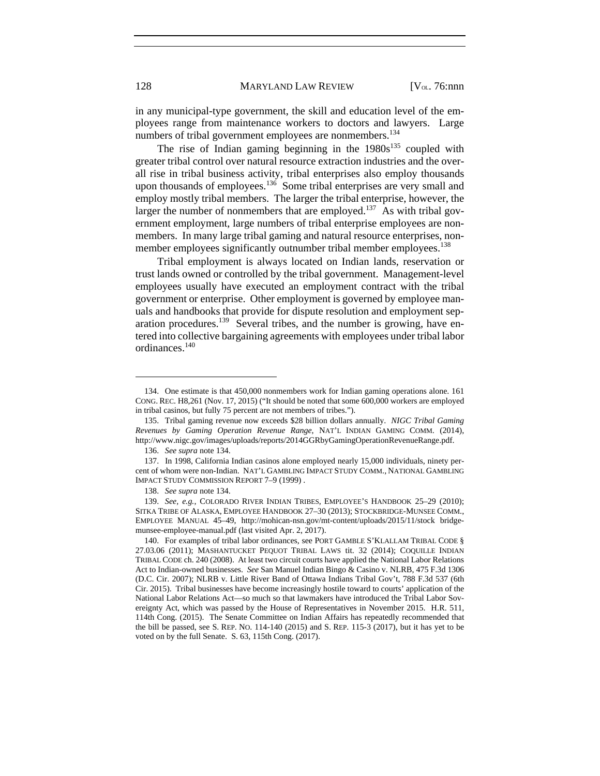in any municipal-type government, the skill and education level of the employees range from maintenance workers to doctors and lawyers. Large numbers of tribal government employees are nonmembers.<sup>134</sup>

The rise of Indian gaming beginning in the  $1980s^{135}$  coupled with greater tribal control over natural resource extraction industries and the overall rise in tribal business activity, tribal enterprises also employ thousands upon thousands of employees.<sup>136</sup> Some tribal enterprises are very small and employ mostly tribal members. The larger the tribal enterprise, however, the larger the number of nonmembers that are employed.<sup>137</sup> As with tribal government employment, large numbers of tribal enterprise employees are nonmembers. In many large tribal gaming and natural resource enterprises, nonmember employees significantly outnumber tribal member employees.<sup>138</sup>

Tribal employment is always located on Indian lands, reservation or trust lands owned or controlled by the tribal government. Management-level employees usually have executed an employment contract with the tribal government or enterprise. Other employment is governed by employee manuals and handbooks that provide for dispute resolution and employment separation procedures.<sup>139</sup> Several tribes, and the number is growing, have entered into collective bargaining agreements with employees under tribal labor ordinances.<sup>140</sup>

 <sup>134.</sup> One estimate is that 450,000 nonmembers work for Indian gaming operations alone. 161 CONG. REC. H8,261 (Nov. 17, 2015) ("It should be noted that some 600,000 workers are employed in tribal casinos, but fully 75 percent are not members of tribes.").

 <sup>135.</sup> Tribal gaming revenue now exceeds \$28 billion dollars annually. *NIGC Tribal Gaming Revenues by Gaming Operation Revenue Range*, NAT'L INDIAN GAMING COMM. (2014), http://www.nigc.gov/images/uploads/reports/2014GGRbyGamingOperationRevenueRange.pdf.

 <sup>136.</sup> *See supra* note 134.

 <sup>137.</sup> In 1998, California Indian casinos alone employed nearly 15,000 individuals, ninety percent of whom were non-Indian. NAT'L GAMBLING IMPACT STUDY COMM., NATIONAL GAMBLING IMPACT STUDY COMMISSION REPORT 7–9 (1999) .

 <sup>138.</sup> *See supra* note 134.

 <sup>139.</sup> *See, e.g.*, COLORADO RIVER INDIAN TRIBES, EMPLOYEE'S HANDBOOK 25–29 (2010); SITKA TRIBE OF ALASKA, EMPLOYEE HANDBOOK 27–30 (2013); STOCKBRIDGE-MUNSEE COMM., EMPLOYEE MANUAL 45–49, http://mohican-nsn.gov/mt-content/uploads/2015/11/stock bridgemunsee-employee-manual.pdf (last visited Apr. 2, 2017).

 <sup>140.</sup> For examples of tribal labor ordinances, see PORT GAMBLE S'KLALLAM TRIBAL CODE § 27.03.06 (2011); MASHANTUCKET PEQUOT TRIBAL LAWS tit. 32 (2014); COQUILLE INDIAN TRIBAL CODE ch. 240 (2008). At least two circuit courts have applied the National Labor Relations Act to Indian-owned businesses. *See* San Manuel Indian Bingo & Casino v. NLRB, 475 F.3d 1306 (D.C. Cir. 2007); NLRB v. Little River Band of Ottawa Indians Tribal Gov't, 788 F.3d 537 (6th Cir. 2015). Tribal businesses have become increasingly hostile toward to courts' application of the National Labor Relations Act—so much so that lawmakers have introduced the Tribal Labor Sovereignty Act, which was passed by the House of Representatives in November 2015. H.R. 511, 114th Cong. (2015). The Senate Committee on Indian Affairs has repeatedly recommended that the bill be passed, see S. REP. NO. 114-140 (2015) and S. REP. 115-3 (2017), but it has yet to be voted on by the full Senate. S. 63, 115th Cong. (2017).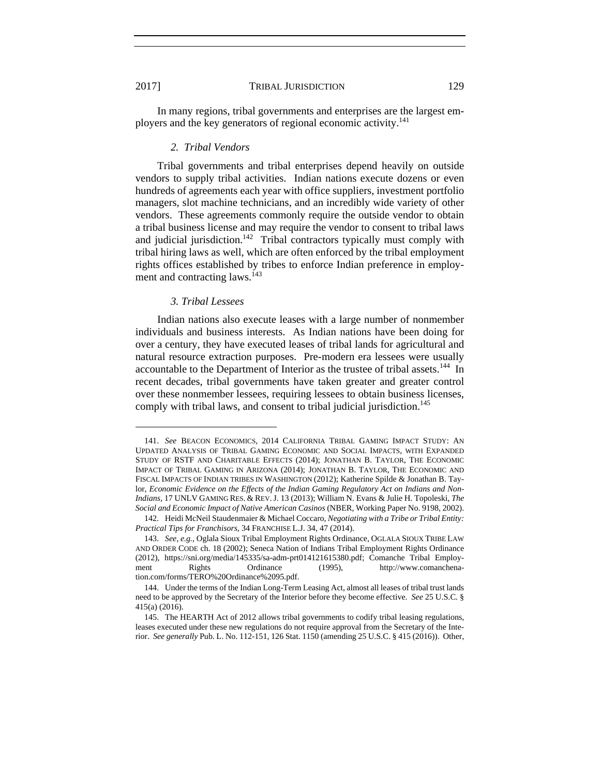In many regions, tribal governments and enterprises are the largest employers and the key generators of regional economic activity.<sup>141</sup>

#### *2. Tribal Vendors*

Tribal governments and tribal enterprises depend heavily on outside vendors to supply tribal activities. Indian nations execute dozens or even hundreds of agreements each year with office suppliers, investment portfolio managers, slot machine technicians, and an incredibly wide variety of other vendors. These agreements commonly require the outside vendor to obtain a tribal business license and may require the vendor to consent to tribal laws and judicial jurisdiction.<sup>142</sup> Tribal contractors typically must comply with tribal hiring laws as well, which are often enforced by the tribal employment rights offices established by tribes to enforce Indian preference in employment and contracting laws.<sup>143</sup>

### *3. Tribal Lessees*

Indian nations also execute leases with a large number of nonmember individuals and business interests. As Indian nations have been doing for over a century, they have executed leases of tribal lands for agricultural and natural resource extraction purposes. Pre-modern era lessees were usually accountable to the Department of Interior as the trustee of tribal assets.<sup>144</sup> In recent decades, tribal governments have taken greater and greater control over these nonmember lessees, requiring lessees to obtain business licenses, comply with tribal laws, and consent to tribal judicial jurisdiction.<sup>145</sup>

 <sup>141.</sup> *See* BEACON ECONOMICS, 2014 CALIFORNIA TRIBAL GAMING IMPACT STUDY: AN UPDATED ANALYSIS OF TRIBAL GAMING ECONOMIC AND SOCIAL IMPACTS, WITH EXPANDED STUDY OF RSTF AND CHARITABLE EFFECTS (2014); JONATHAN B. TAYLOR, THE ECONOMIC IMPACT OF TRIBAL GAMING IN ARIZONA (2014); JONATHAN B. TAYLOR, THE ECONOMIC AND FISCAL IMPACTS OF INDIAN TRIBES IN WASHINGTON (2012); Katherine Spilde & Jonathan B. Taylor, *Economic Evidence on the Effects of the Indian Gaming Regulatory Act on Indians and Non-Indians*, 17 UNLV GAMING RES. & REV.J. 13 (2013); William N. Evans & Julie H. Topoleski, *The Social and Economic Impact of Native American Casinos* (NBER, Working Paper No. 9198, 2002).

 <sup>142.</sup> Heidi McNeil Staudenmaier & Michael Coccaro, *Negotiating with a Tribe or Tribal Entity: Practical Tips for Franchisors*, 34 FRANCHISE L.J. 34, 47 (2014).

 <sup>143.</sup> *See, e.g.*, Oglala Sioux Tribal Employment Rights Ordinance, OGLALA SIOUX TRIBE LAW AND ORDER CODE ch. 18 (2002); Seneca Nation of Indians Tribal Employment Rights Ordinance (2012), https://sni.org/media/145335/sa-adm-prt014121615380.pdf; Comanche Tribal Employment Rights Ordinance (1995), http://www.comanchenation.com/forms/TERO%20Ordinance%2095.pdf.

 <sup>144.</sup> Under the terms of the Indian Long-Term Leasing Act, almost all leases of tribal trust lands need to be approved by the Secretary of the Interior before they become effective. *See* 25 U.S.C. § 415(a) (2016).

 <sup>145.</sup> The HEARTH Act of 2012 allows tribal governments to codify tribal leasing regulations, leases executed under these new regulations do not require approval from the Secretary of the Interior. *See generally* Pub. L. No. 112-151, 126 Stat. 1150 (amending 25 U.S.C. § 415 (2016)). Other,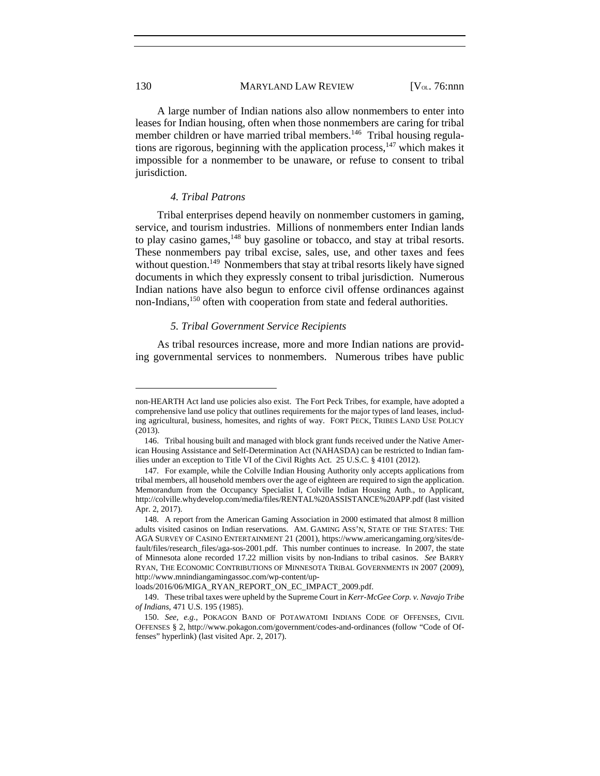A large number of Indian nations also allow nonmembers to enter into leases for Indian housing, often when those nonmembers are caring for tribal member children or have married tribal members.<sup>146</sup> Tribal housing regulations are rigorous, beginning with the application process, $147$  which makes it impossible for a nonmember to be unaware, or refuse to consent to tribal jurisdiction.

#### *4. Tribal Patrons*

Tribal enterprises depend heavily on nonmember customers in gaming, service, and tourism industries. Millions of nonmembers enter Indian lands to play casino games,<sup>148</sup> buy gasoline or tobacco, and stay at tribal resorts. These nonmembers pay tribal excise, sales, use, and other taxes and fees without question.<sup>149</sup> Nonmembers that stay at tribal resorts likely have signed documents in which they expressly consent to tribal jurisdiction. Numerous Indian nations have also begun to enforce civil offense ordinances against non-Indians,<sup>150</sup> often with cooperation from state and federal authorities.

#### *5. Tribal Government Service Recipients*

As tribal resources increase, more and more Indian nations are providing governmental services to nonmembers. Numerous tribes have public

loads/2016/06/MIGA\_RYAN\_REPORT\_ON\_EC\_IMPACT\_2009.pdf.

non-HEARTH Act land use policies also exist. The Fort Peck Tribes, for example, have adopted a comprehensive land use policy that outlines requirements for the major types of land leases, including agricultural, business, homesites, and rights of way. FORT PECK, TRIBES LAND USE POLICY (2013).

 <sup>146.</sup> Tribal housing built and managed with block grant funds received under the Native American Housing Assistance and Self-Determination Act (NAHASDA) can be restricted to Indian families under an exception to Title VI of the Civil Rights Act. 25 U.S.C. § 4101 (2012).

 <sup>147.</sup> For example, while the Colville Indian Housing Authority only accepts applications from tribal members, all household members over the age of eighteen are required to sign the application. Memorandum from the Occupancy Specialist I, Colville Indian Housing Auth., to Applicant, http://colville.whydevelop.com/media/files/RENTAL%20ASSISTANCE%20APP.pdf (last visited Apr. 2, 2017).

 <sup>148.</sup> A report from the American Gaming Association in 2000 estimated that almost 8 million adults visited casinos on Indian reservations. AM. GAMING ASS'N, STATE OF THE STATES: THE AGA SURVEY OF CASINO ENTERTAINMENT 21 (2001), https://www.americangaming.org/sites/default/files/research\_files/aga-sos-2001.pdf. This number continues to increase. In 2007, the state of Minnesota alone recorded 17.22 million visits by non-Indians to tribal casinos. *See* BARRY RYAN, THE ECONOMIC CONTRIBUTIONS OF MINNESOTA TRIBAL GOVERNMENTS IN 2007 (2009), http://www.mnindiangamingassoc.com/wp-content/up-

 <sup>149.</sup> These tribal taxes were upheld by the Supreme Court in *Kerr-McGee Corp. v. Navajo Tribe of Indians*, 471 U.S. 195 (1985).

 <sup>150.</sup> *See, e.g.*, POKAGON BAND OF POTAWATOMI INDIANS CODE OF OFFENSES, CIVIL OFFENSES § 2, http://www.pokagon.com/government/codes-and-ordinances (follow "Code of Offenses" hyperlink) (last visited Apr. 2, 2017).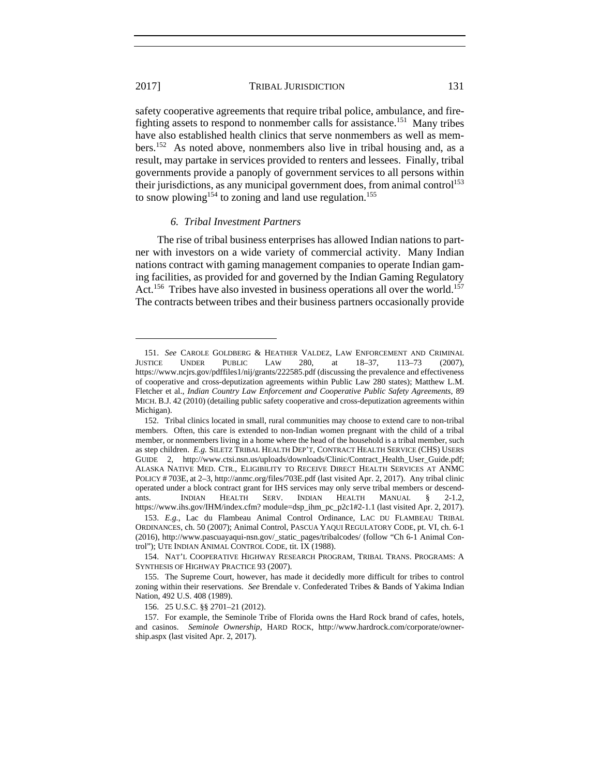l

#### 2017] TRIBAL JURISDICTION 131

safety cooperative agreements that require tribal police, ambulance, and firefighting assets to respond to nonmember calls for assistance.<sup>151</sup> Many tribes have also established health clinics that serve nonmembers as well as members.152 As noted above, nonmembers also live in tribal housing and, as a result, may partake in services provided to renters and lessees. Finally, tribal governments provide a panoply of government services to all persons within their jurisdictions, as any municipal government does, from animal control<sup>153</sup> to snow plowing<sup>154</sup> to zoning and land use regulation.<sup>155</sup>

#### *6. Tribal Investment Partners*

The rise of tribal business enterprises has allowed Indian nations to partner with investors on a wide variety of commercial activity. Many Indian nations contract with gaming management companies to operate Indian gaming facilities, as provided for and governed by the Indian Gaming Regulatory Act.<sup>156</sup> Tribes have also invested in business operations all over the world.<sup>157</sup> The contracts between tribes and their business partners occasionally provide

156. 25 U.S.C. §§ 2701–21 (2012).

 <sup>151.</sup> *See* CAROLE GOLDBERG & HEATHER VALDEZ, LAW ENFORCEMENT AND CRIMINAL JUSTICE UNDER PUBLIC LAW 280, at 18–37, 113–73 (2007), https://www.ncjrs.gov/pdffiles1/nij/grants/222585.pdf (discussing the prevalence and effectiveness of cooperative and cross-deputization agreements within Public Law 280 states); Matthew L.M. Fletcher et al., *Indian Country Law Enforcement and Cooperative Public Safety Agreements*, 89 MICH. B.J. 42 (2010) (detailing public safety cooperative and cross-deputization agreements within Michigan).

 <sup>152.</sup> Tribal clinics located in small, rural communities may choose to extend care to non-tribal members. Often, this care is extended to non-Indian women pregnant with the child of a tribal member, or nonmembers living in a home where the head of the household is a tribal member, such as step children. *E.g.* SILETZ TRIBAL HEALTH DEP'T, CONTRACT HEALTH SERVICE (CHS) USERS GUIDE 2, http://www.ctsi.nsn.us/uploads/downloads/Clinic/Contract\_Health\_User\_Guide.pdf; ALASKA NATIVE MED. CTR., ELIGIBILITY TO RECEIVE DIRECT HEALTH SERVICES AT ANMC POLICY # 703E, at 2–3, http://anmc.org/files/703E.pdf (last visited Apr. 2, 2017). Any tribal clinic operated under a block contract grant for IHS services may only serve tribal members or descendants. INDIAN HEALTH SERV. INDIAN HEALTH MANUAL § 2-1.2, https://www.ihs.gov/IHM/index.cfm? module=dsp\_ihm\_pc\_p2c1#2-1.1 (last visited Apr. 2, 2017).

 <sup>153.</sup> *E.g.*, Lac du Flambeau Animal Control Ordinance, LAC DU FLAMBEAU TRIBAL ORDINANCES, ch. 50 (2007); Animal Control, PASCUA YAQUI REGULATORY CODE, pt. VI, ch. 6-1 (2016), http://www.pascuayaqui-nsn.gov/\_static\_pages/tribalcodes/ (follow "Ch 6-1 Animal Control"); UTE INDIAN ANIMAL CONTROL CODE, tit. IX (1988).

 <sup>154.</sup> NAT'L COOPERATIVE HIGHWAY RESEARCH PROGRAM, TRIBAL TRANS. PROGRAMS: A SYNTHESIS OF HIGHWAY PRACTICE 93 (2007).

 <sup>155.</sup> The Supreme Court, however, has made it decidedly more difficult for tribes to control zoning within their reservations. *See* Brendale v. Confederated Tribes & Bands of Yakima Indian Nation, 492 U.S. 408 (1989).

 <sup>157.</sup> For example, the Seminole Tribe of Florida owns the Hard Rock brand of cafes, hotels, and casinos. *Seminole Ownership*, HARD ROCK, http://www.hardrock.com/corporate/ownership.aspx (last visited Apr. 2, 2017).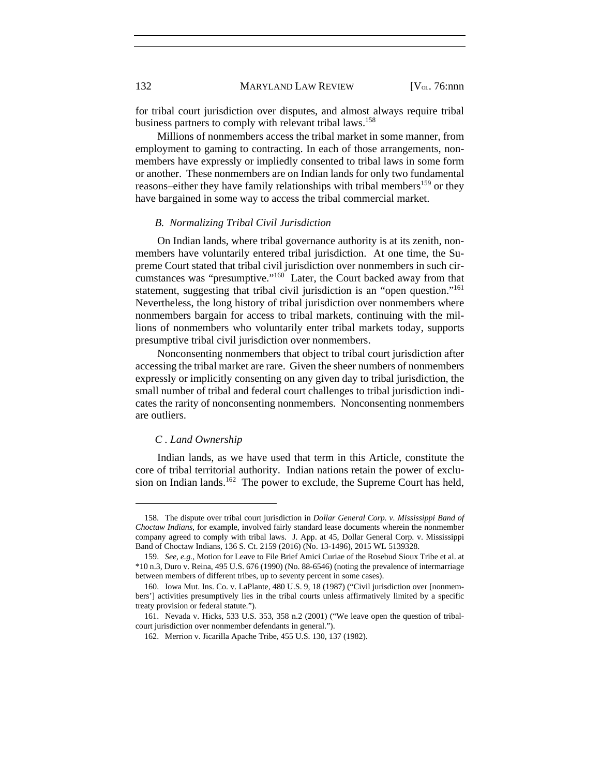132 MARYLAND LAW REVIEW [V<sub>OL.</sub> 76:nnn]

for tribal court jurisdiction over disputes, and almost always require tribal business partners to comply with relevant tribal laws.<sup>158</sup>

Millions of nonmembers access the tribal market in some manner, from employment to gaming to contracting. In each of those arrangements, nonmembers have expressly or impliedly consented to tribal laws in some form or another. These nonmembers are on Indian lands for only two fundamental reasons–either they have family relationships with tribal members<sup>159</sup> or they have bargained in some way to access the tribal commercial market.

#### *B. Normalizing Tribal Civil Jurisdiction*

On Indian lands, where tribal governance authority is at its zenith, nonmembers have voluntarily entered tribal jurisdiction. At one time, the Supreme Court stated that tribal civil jurisdiction over nonmembers in such circumstances was "presumptive." $160$  Later, the Court backed away from that statement, suggesting that tribal civil jurisdiction is an "open question."<sup>161</sup> Nevertheless, the long history of tribal jurisdiction over nonmembers where nonmembers bargain for access to tribal markets, continuing with the millions of nonmembers who voluntarily enter tribal markets today, supports presumptive tribal civil jurisdiction over nonmembers.

Nonconsenting nonmembers that object to tribal court jurisdiction after accessing the tribal market are rare. Given the sheer numbers of nonmembers expressly or implicitly consenting on any given day to tribal jurisdiction, the small number of tribal and federal court challenges to tribal jurisdiction indicates the rarity of nonconsenting nonmembers. Nonconsenting nonmembers are outliers.

#### *C . Land Ownership*

l

Indian lands, as we have used that term in this Article, constitute the core of tribal territorial authority. Indian nations retain the power of exclusion on Indian lands.<sup>162</sup> The power to exclude, the Supreme Court has held,

 <sup>158.</sup> The dispute over tribal court jurisdiction in *Dollar General Corp. v. Mississippi Band of Choctaw Indians*, for example, involved fairly standard lease documents wherein the nonmember company agreed to comply with tribal laws. J. App. at 45, Dollar General Corp. v. Mississippi Band of Choctaw Indians, 136 S. Ct. 2159 (2016) (No. 13-1496), 2015 WL 5139328.

 <sup>159.</sup> *See, e.g.*, Motion for Leave to File Brief Amici Curiae of the Rosebud Sioux Tribe et al. at \*10 n.3, Duro v. Reina, 495 U.S. 676 (1990) (No. 88-6546) (noting the prevalence of intermarriage between members of different tribes, up to seventy percent in some cases).

 <sup>160.</sup> Iowa Mut. Ins. Co. v. LaPlante, 480 U.S. 9, 18 (1987) ("Civil jurisdiction over [nonmembers'] activities presumptively lies in the tribal courts unless affirmatively limited by a specific treaty provision or federal statute.").

 <sup>161.</sup> Nevada v. Hicks, 533 U.S. 353, 358 n.2 (2001) ("We leave open the question of tribalcourt jurisdiction over nonmember defendants in general.").

 <sup>162.</sup> Merrion v. Jicarilla Apache Tribe, 455 U.S. 130, 137 (1982).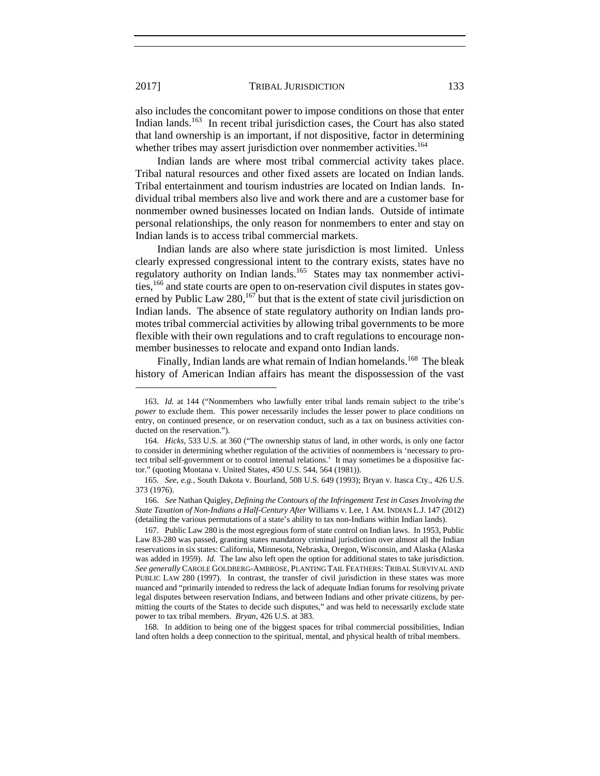also includes the concomitant power to impose conditions on those that enter Indian lands.<sup>163</sup> In recent tribal jurisdiction cases, the Court has also stated that land ownership is an important, if not dispositive, factor in determining whether tribes may assert jurisdiction over nonmember activities.<sup>164</sup>

Indian lands are where most tribal commercial activity takes place. Tribal natural resources and other fixed assets are located on Indian lands. Tribal entertainment and tourism industries are located on Indian lands. Individual tribal members also live and work there and are a customer base for nonmember owned businesses located on Indian lands. Outside of intimate personal relationships, the only reason for nonmembers to enter and stay on Indian lands is to access tribal commercial markets.

Indian lands are also where state jurisdiction is most limited. Unless clearly expressed congressional intent to the contrary exists, states have no regulatory authority on Indian lands.<sup>165</sup> States may tax nonmember activities,166 and state courts are open to on-reservation civil disputes in states governed by Public Law 280,  $167$  but that is the extent of state civil jurisdiction on Indian lands. The absence of state regulatory authority on Indian lands promotes tribal commercial activities by allowing tribal governments to be more flexible with their own regulations and to craft regulations to encourage nonmember businesses to relocate and expand onto Indian lands.

Finally, Indian lands are what remain of Indian homelands.<sup>168</sup> The bleak history of American Indian affairs has meant the dispossession of the vast

 168. In addition to being one of the biggest spaces for tribal commercial possibilities, Indian land often holds a deep connection to the spiritual, mental, and physical health of tribal members.

 <sup>163.</sup> *Id.* at 144 ("Nonmembers who lawfully enter tribal lands remain subject to the tribe's *power* to exclude them. This power necessarily includes the lesser power to place conditions on entry, on continued presence, or on reservation conduct, such as a tax on business activities conducted on the reservation.").

 <sup>164.</sup> *Hicks*, 533 U.S. at 360 ("The ownership status of land, in other words, is only one factor to consider in determining whether regulation of the activities of nonmembers is 'necessary to protect tribal self-government or to control internal relations.' It may sometimes be a dispositive factor." (quoting Montana v. United States, 450 U.S. 544, 564 (1981)).

 <sup>165.</sup> *See, e.g.*, South Dakota v. Bourland, 508 U.S. 649 (1993); Bryan v. Itasca Cty., 426 U.S. 373 (1976).

 <sup>166.</sup> *See* Nathan Quigley, *Defining the Contours of the Infringement Test in Cases Involving the State Taxation of Non-Indians a Half-Century After* Williams v. Lee, 1 AM. INDIAN L.J. 147 (2012) (detailing the various permutations of a state's ability to tax non-Indians within Indian lands).

 <sup>167.</sup> Public Law 280 is the most egregious form of state control on Indian laws. In 1953, Public Law 83-280 was passed, granting states mandatory criminal jurisdiction over almost all the Indian reservations in six states: California, Minnesota, Nebraska, Oregon, Wisconsin, and Alaska (Alaska was added in 1959). *Id.* The law also left open the option for additional states to take jurisdiction. *See generally* CAROLE GOLDBERG-AMBROSE, PLANTING TAIL FEATHERS: TRIBAL SURVIVAL AND PUBLIC LAW 280 (1997). In contrast, the transfer of civil jurisdiction in these states was more nuanced and "primarily intended to redress the lack of adequate Indian forums for resolving private legal disputes between reservation Indians, and between Indians and other private citizens, by permitting the courts of the States to decide such disputes," and was held to necessarily exclude state power to tax tribal members. *Bryan*, 426 U.S. at 383.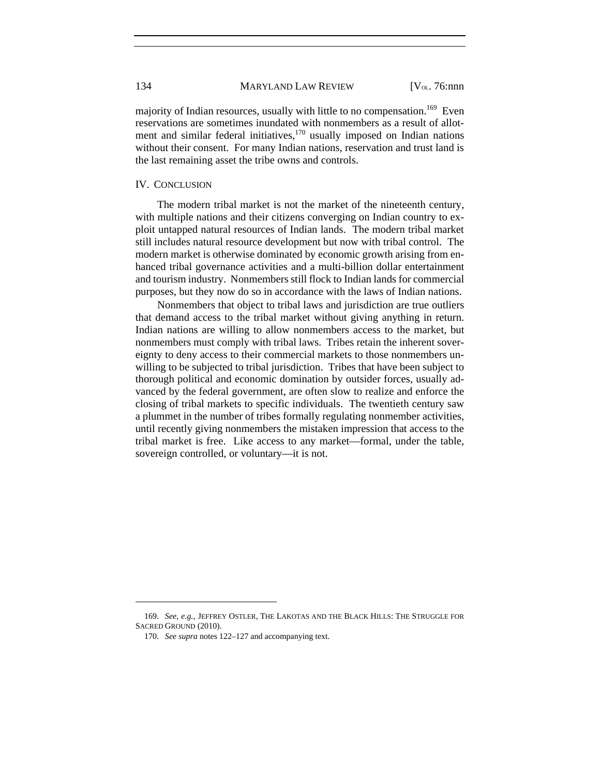majority of Indian resources, usually with little to no compensation.<sup>169</sup> Even reservations are sometimes inundated with nonmembers as a result of allotment and similar federal initiatives, $170$  usually imposed on Indian nations without their consent. For many Indian nations, reservation and trust land is the last remaining asset the tribe owns and controls.

#### IV. CONCLUSION

The modern tribal market is not the market of the nineteenth century, with multiple nations and their citizens converging on Indian country to exploit untapped natural resources of Indian lands. The modern tribal market still includes natural resource development but now with tribal control. The modern market is otherwise dominated by economic growth arising from enhanced tribal governance activities and a multi-billion dollar entertainment and tourism industry. Nonmembers still flock to Indian lands for commercial purposes, but they now do so in accordance with the laws of Indian nations.

Nonmembers that object to tribal laws and jurisdiction are true outliers that demand access to the tribal market without giving anything in return. Indian nations are willing to allow nonmembers access to the market, but nonmembers must comply with tribal laws. Tribes retain the inherent sovereignty to deny access to their commercial markets to those nonmembers unwilling to be subjected to tribal jurisdiction. Tribes that have been subject to thorough political and economic domination by outsider forces, usually advanced by the federal government, are often slow to realize and enforce the closing of tribal markets to specific individuals. The twentieth century saw a plummet in the number of tribes formally regulating nonmember activities, until recently giving nonmembers the mistaken impression that access to the tribal market is free. Like access to any market—formal, under the table, sovereign controlled, or voluntary—it is not.

 <sup>169.</sup> *See, e.g.*, JEFFREY OSTLER, THE LAKOTAS AND THE BLACK HILLS: THE STRUGGLE FOR SACRED GROUND (2010).

 <sup>170.</sup> *See supra* notes 122–127 and accompanying text.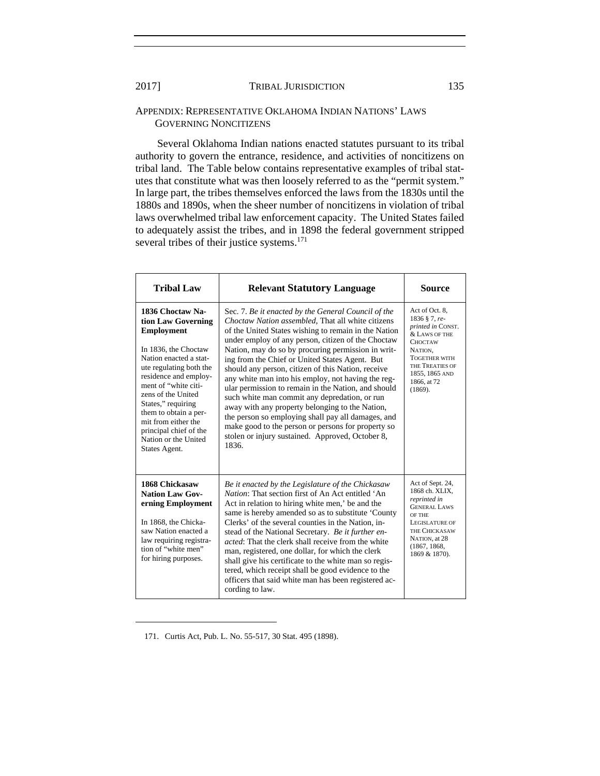#### APPENDIX: REPRESENTATIVE OKLAHOMA INDIAN NATIONS' LAWS GOVERNING NONCITIZENS

Several Oklahoma Indian nations enacted statutes pursuant to its tribal authority to govern the entrance, residence, and activities of noncitizens on tribal land. The Table below contains representative examples of tribal statutes that constitute what was then loosely referred to as the "permit system." In large part, the tribes themselves enforced the laws from the 1830s until the 1880s and 1890s, when the sheer number of noncitizens in violation of tribal laws overwhelmed tribal law enforcement capacity. The United States failed to adequately assist the tribes, and in 1898 the federal government stripped several tribes of their justice systems.<sup>171</sup>

| <b>Tribal Law</b>                                                                                                                                                                                                                                                                                                                                        | <b>Relevant Statutory Language</b>                                                                                                                                                                                                                                                                                                                                                                                                                                                                                                                                                                                                                                                                                                                                             | Source                                                                                                                                                                                    |
|----------------------------------------------------------------------------------------------------------------------------------------------------------------------------------------------------------------------------------------------------------------------------------------------------------------------------------------------------------|--------------------------------------------------------------------------------------------------------------------------------------------------------------------------------------------------------------------------------------------------------------------------------------------------------------------------------------------------------------------------------------------------------------------------------------------------------------------------------------------------------------------------------------------------------------------------------------------------------------------------------------------------------------------------------------------------------------------------------------------------------------------------------|-------------------------------------------------------------------------------------------------------------------------------------------------------------------------------------------|
| 1836 Choctaw Na-<br>tion Law Governing<br><b>Employment</b><br>In 1836, the Choctaw<br>Nation enacted a stat-<br>ute regulating both the<br>residence and employ-<br>ment of "white citi-<br>zens of the United<br>States," requiring<br>them to obtain a per-<br>mit from either the<br>principal chief of the<br>Nation or the United<br>States Agent. | Sec. 7. Be it enacted by the General Council of the<br>Choctaw Nation assembled, That all white citizens<br>of the United States wishing to remain in the Nation<br>under employ of any person, citizen of the Choctaw<br>Nation, may do so by procuring permission in writ-<br>ing from the Chief or United States Agent. But<br>should any person, citizen of this Nation, receive<br>any white man into his employ, not having the reg-<br>ular permission to remain in the Nation, and should<br>such white man commit any depredation, or run<br>away with any property belonging to the Nation,<br>the person so employing shall pay all damages, and<br>make good to the person or persons for property so<br>stolen or injury sustained. Approved, October 8,<br>1836. | Act of Oct. 8,<br>1836 § 7, re-<br>printed in CONST.<br>& LAWS OF THE<br><b>CHOCTAW</b><br>NATION,<br><b>TOGETHER WITH</b><br>THE TREATIES OF<br>1855, 1865 AND<br>1866, at 72<br>(1869). |
| 1868 Chickasaw<br><b>Nation Law Gov-</b><br>erning Employment<br>In 1868, the Chicka-<br>saw Nation enacted a<br>law requiring registra-<br>tion of "white men"<br>for hiring purposes.                                                                                                                                                                  | Be it enacted by the Legislature of the Chickasaw<br><i>Nation:</i> That section first of An Act entitled 'An<br>Act in relation to hiring white men,' be and the<br>same is hereby amended so as to substitute 'County<br>Clerks' of the several counties in the Nation, in-<br>stead of the National Secretary. Be it further en-<br><i>acted:</i> That the clerk shall receive from the white<br>man, registered, one dollar, for which the clerk<br>shall give his certificate to the white man so regis-<br>tered, which receipt shall be good evidence to the<br>officers that said white man has been registered ac-<br>cording to law.                                                                                                                                 | Act of Sept. 24,<br>1868 ch. XLIX,<br>reprinted in<br><b>GENERAL LAWS</b><br>OF THE<br>LEGISLATURE OF<br><b>THE CHICKASAW</b><br>NATION, at 28<br>(1867, 1868,<br>1869 & 1870).           |

171. Curtis Act, Pub. L. No. 55-517, 30 Stat. 495 (1898).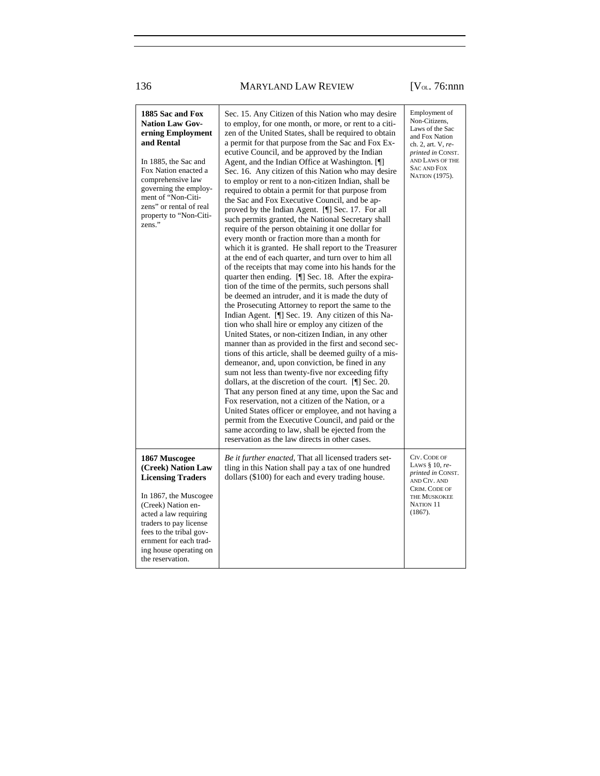## 136 MARYLAND LAW REVIEW [V<sub>ol.</sub> 76:nnn]

| 1885 Sac and Fox<br><b>Nation Law Gov-</b><br>erning Employment<br>and Rental<br>In 1885, the Sac and<br>Fox Nation enacted a<br>comprehensive law<br>governing the employ-<br>ment of "Non-Citi-<br>zens" or rental of real<br>property to "Non-Citi-<br>zens."     | Sec. 15. Any Citizen of this Nation who may desire<br>to employ, for one month, or more, or rent to a citi-<br>zen of the United States, shall be required to obtain<br>a permit for that purpose from the Sac and Fox Ex-<br>ecutive Council, and be approved by the Indian<br>Agent, and the Indian Office at Washington. [¶]<br>Sec. 16. Any citizen of this Nation who may desire<br>to employ or rent to a non-citizen Indian, shall be<br>required to obtain a permit for that purpose from<br>the Sac and Fox Executive Council, and be ap-<br>proved by the Indian Agent. [¶] Sec. 17. For all<br>such permits granted, the National Secretary shall<br>require of the person obtaining it one dollar for<br>every month or fraction more than a month for<br>which it is granted. He shall report to the Treasurer<br>at the end of each quarter, and turn over to him all<br>of the receipts that may come into his hands for the<br>quarter then ending. [¶] Sec. 18. After the expira-<br>tion of the time of the permits, such persons shall<br>be deemed an intruder, and it is made the duty of<br>the Prosecuting Attorney to report the same to the<br>Indian Agent. [¶] Sec. 19. Any citizen of this Na-<br>tion who shall hire or employ any citizen of the<br>United States, or non-citizen Indian, in any other<br>manner than as provided in the first and second sec-<br>tions of this article, shall be deemed guilty of a mis-<br>demeanor, and, upon conviction, be fined in any<br>sum not less than twenty-five nor exceeding fifty<br>dollars, at the discretion of the court. [¶] Sec. 20.<br>That any person fined at any time, upon the Sac and<br>Fox reservation, not a citizen of the Nation, or a<br>United States officer or employee, and not having a<br>permit from the Executive Council, and paid or the<br>same according to law, shall be ejected from the<br>reservation as the law directs in other cases. | Employment of<br>Non-Citizens,<br>Laws of the Sac<br>and Fox Nation<br>ch. 2, art. V, re-<br>printed in CONST.<br>AND LAWS OF THE<br><b>SAC AND FOX</b><br>NATION (1975). |
|----------------------------------------------------------------------------------------------------------------------------------------------------------------------------------------------------------------------------------------------------------------------|----------------------------------------------------------------------------------------------------------------------------------------------------------------------------------------------------------------------------------------------------------------------------------------------------------------------------------------------------------------------------------------------------------------------------------------------------------------------------------------------------------------------------------------------------------------------------------------------------------------------------------------------------------------------------------------------------------------------------------------------------------------------------------------------------------------------------------------------------------------------------------------------------------------------------------------------------------------------------------------------------------------------------------------------------------------------------------------------------------------------------------------------------------------------------------------------------------------------------------------------------------------------------------------------------------------------------------------------------------------------------------------------------------------------------------------------------------------------------------------------------------------------------------------------------------------------------------------------------------------------------------------------------------------------------------------------------------------------------------------------------------------------------------------------------------------------------------------------------------------------------------------------------------------------------------------------------------|---------------------------------------------------------------------------------------------------------------------------------------------------------------------------|
| 1867 Muscogee<br>(Creek) Nation Law<br><b>Licensing Traders</b><br>In 1867, the Muscogee<br>(Creek) Nation en-<br>acted a law requiring<br>traders to pay license<br>fees to the tribal gov-<br>ernment for each trad-<br>ing house operating on<br>the reservation. | <i>Be it further enacted</i> , That all licensed traders set-<br>tling in this Nation shall pay a tax of one hundred<br>dollars (\$100) for each and every trading house.                                                                                                                                                                                                                                                                                                                                                                                                                                                                                                                                                                                                                                                                                                                                                                                                                                                                                                                                                                                                                                                                                                                                                                                                                                                                                                                                                                                                                                                                                                                                                                                                                                                                                                                                                                                | CIV. CODE OF<br>LAWS $§$ 10, re-<br><i>printed in CONST.</i><br>AND CIV. AND<br>CRIM. CODE OF<br>THE MUSKOKEE<br>NATION 11<br>(1867).                                     |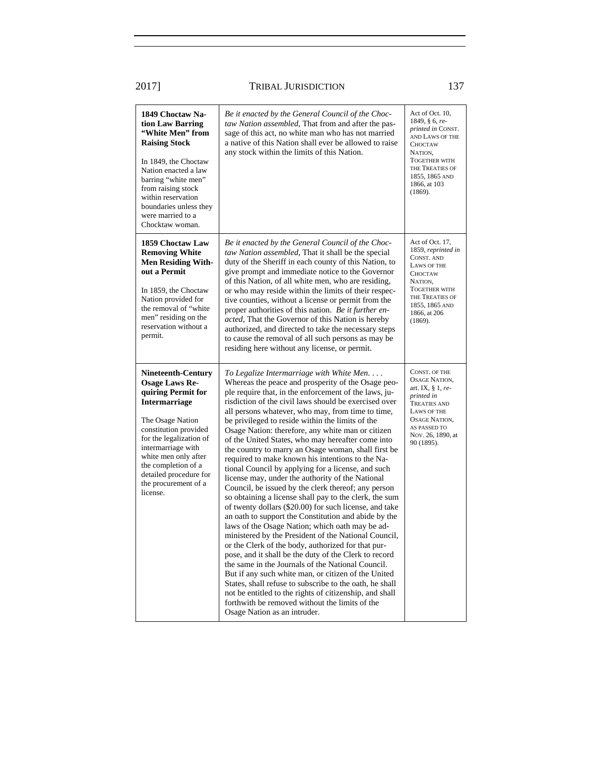| 1849 Choctaw Na-<br>tion Law Barring<br>"White Men" from<br><b>Raising Stock</b><br>In 1849, the Choctaw<br>Nation enacted a law<br>barring "white men"<br>from raising stock<br>within reservation<br>boundaries unless they<br>were married to a<br>Chocktaw woman.                                       | Be it enacted by the General Council of the Choc-<br>taw Nation assembled, That from and after the pas-<br>sage of this act, no white man who has not married<br>a native of this Nation shall ever be allowed to raise<br>any stock within the limits of this Nation.                                                                                                                                                                                                                                                                                                                                                                                                                                                                                                                                                                                                                                                                                                                                                                                                                                                                                                                                                                                                                                                                                                                                                                    | Act of Oct. 10,<br>1849, § 6, re-<br>printed in CONST.<br>AND LAWS OF THE<br><b>CHOCTAW</b><br>NATION,<br><b>TOGETHER WITH</b><br>THE TREATIES OF<br>1855, 1865 AND<br>1866, at 103<br>(1869). |
|-------------------------------------------------------------------------------------------------------------------------------------------------------------------------------------------------------------------------------------------------------------------------------------------------------------|-------------------------------------------------------------------------------------------------------------------------------------------------------------------------------------------------------------------------------------------------------------------------------------------------------------------------------------------------------------------------------------------------------------------------------------------------------------------------------------------------------------------------------------------------------------------------------------------------------------------------------------------------------------------------------------------------------------------------------------------------------------------------------------------------------------------------------------------------------------------------------------------------------------------------------------------------------------------------------------------------------------------------------------------------------------------------------------------------------------------------------------------------------------------------------------------------------------------------------------------------------------------------------------------------------------------------------------------------------------------------------------------------------------------------------------------|------------------------------------------------------------------------------------------------------------------------------------------------------------------------------------------------|
| 1859 Choctaw Law<br><b>Removing White</b><br><b>Men Residing With-</b><br>out a Permit<br>In 1859, the Choctaw<br>Nation provided for<br>the removal of "white<br>men" residing on the<br>reservation without a<br>permit.                                                                                  | Be it enacted by the General Council of the Choc-<br>taw Nation assembled, That it shall be the special<br>duty of the Sheriff in each county of this Nation, to<br>give prompt and immediate notice to the Governor<br>of this Nation, of all white men, who are residing,<br>or who may reside within the limits of their respec-<br>tive counties, without a license or permit from the<br>proper authorities of this nation. Be it further en-<br>acted, That the Governor of this Nation is hereby<br>authorized, and directed to take the necessary steps<br>to cause the removal of all such persons as may be<br>residing here without any license, or permit.                                                                                                                                                                                                                                                                                                                                                                                                                                                                                                                                                                                                                                                                                                                                                                    | Act of Oct. 17,<br>1859, reprinted in<br>CONST. AND<br>LAWS OF THE<br><b>CHOCTAW</b><br>NATION,<br><b>TOGETHER WITH</b><br>THE TREATIES OF<br>1855, 1865 AND<br>1866, at 206<br>(1869).        |
| <b>Nineteenth-Century</b><br><b>Osage Laws Re-</b><br>quiring Permit for<br><b>Intermarriage</b><br>The Osage Nation<br>constitution provided<br>for the legalization of<br>intermarriage with<br>white men only after<br>the completion of a<br>detailed procedure for<br>the procurement of a<br>license. | To Legalize Intermarriage with White Men<br>Whereas the peace and prosperity of the Osage peo-<br>ple require that, in the enforcement of the laws, ju-<br>risdiction of the civil laws should be exercised over<br>all persons whatever, who may, from time to time,<br>be privileged to reside within the limits of the<br>Osage Nation: therefore, any white man or citizen<br>of the United States, who may hereafter come into<br>the country to marry an Osage woman, shall first be<br>required to make known his intentions to the Na-<br>tional Council by applying for a license, and such<br>license may, under the authority of the National<br>Council, be issued by the clerk thereof; any person<br>so obtaining a license shall pay to the clerk, the sum<br>of twenty dollars (\$20.00) for such license, and take<br>an oath to support the Constitution and abide by the<br>laws of the Osage Nation; which oath may be ad-<br>ministered by the President of the National Council,<br>or the Clerk of the body, authorized for that pur-<br>pose, and it shall be the duty of the Clerk to record<br>the same in the Journals of the National Council.<br>But if any such white man, or citizen of the United<br>States, shall refuse to subscribe to the oath, he shall<br>not be entitled to the rights of citizenship, and shall<br>forthwith be removed without the limits of the<br>Osage Nation as an intruder. | CONST. OF THE<br>OSAGE NATION,<br>art. IX, $\S 1$ , re-<br>printed in<br><b>TREATIES AND</b><br>LAWS OF THE<br>OSAGE NATION,<br>AS PASSED TO<br>Nov. 26, 1890, at<br>90 (1895).                |